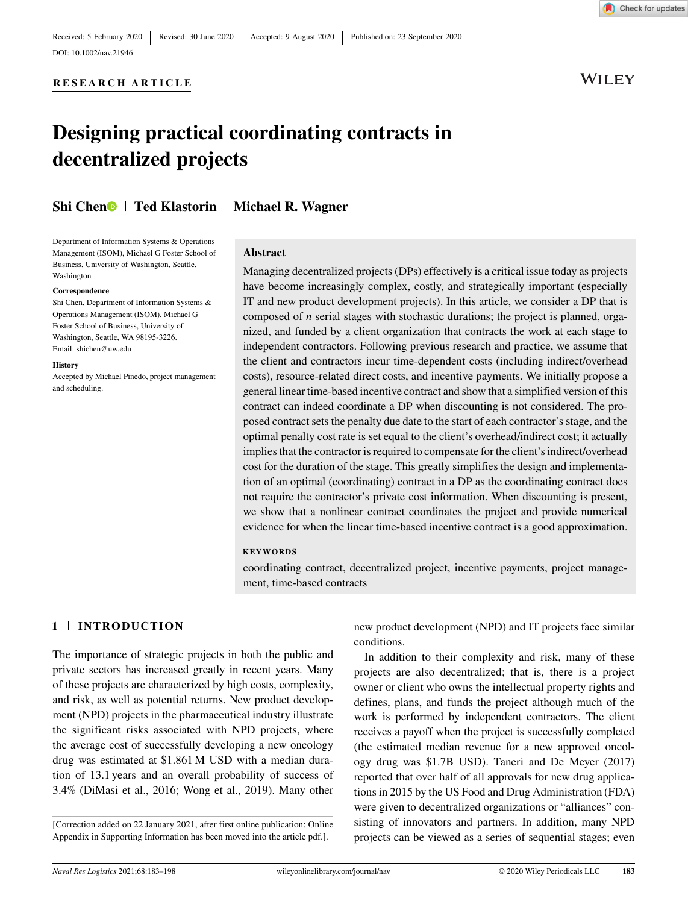#### **RESEARCH ARTICLE**

## **WILEY**

Check for updates

# **Designing practical coordinating contracts in decentralized projects**

## **Shi Che[n](https://orcid.org/0000-0001-8413-0870) Ted Klastorin Michael R. Wagner**

Department of Information Systems & Operations Management (ISOM), Michael G Foster School of Business, University of Washington, Seattle, Washington

#### **Correspondence**

Shi Chen, Department of Information Systems & Operations Management (ISOM), Michael G Foster School of Business, University of Washington, Seattle, WA 98195-3226. Email: shichen@uw.edu

#### **History**

Accepted by Michael Pinedo, project management and scheduling.

#### **Abstract**

Managing decentralized projects (DPs) effectively is a critical issue today as projects have become increasingly complex, costly, and strategically important (especially IT and new product development projects). In this article, we consider a DP that is composed of *n* serial stages with stochastic durations; the project is planned, organized, and funded by a client organization that contracts the work at each stage to independent contractors. Following previous research and practice, we assume that the client and contractors incur time-dependent costs (including indirect/overhead costs), resource-related direct costs, and incentive payments. We initially propose a general linear time-based incentive contract and show that a simplified version of this contract can indeed coordinate a DP when discounting is not considered. The proposed contract sets the penalty due date to the start of each contractor's stage, and the optimal penalty cost rate is set equal to the client's overhead/indirect cost; it actually implies that the contractor is required to compensate for the client's indirect/overhead cost for the duration of the stage. This greatly simplifies the design and implementation of an optimal (coordinating) contract in a DP as the coordinating contract does not require the contractor's private cost information. When discounting is present, we show that a nonlinear contract coordinates the project and provide numerical evidence for when the linear time-based incentive contract is a good approximation.

#### **KEYWORDS**

coordinating contract, decentralized project, incentive payments, project management, time-based contracts

## **1 INTRODUCTION**

The importance of strategic projects in both the public and private sectors has increased greatly in recent years. Many of these projects are characterized by high costs, complexity, and risk, as well as potential returns. New product development (NPD) projects in the pharmaceutical industry illustrate the significant risks associated with NPD projects, where the average cost of successfully developing a new oncology drug was estimated at \$1.861 M USD with a median duration of 13.1 years and an overall probability of success of 3.4% (DiMasi et al., 2016; Wong et al., 2019). Many other

new product development (NPD) and IT projects face similar conditions.

In addition to their complexity and risk, many of these projects are also decentralized; that is, there is a project owner or client who owns the intellectual property rights and defines, plans, and funds the project although much of the work is performed by independent contractors. The client receives a payoff when the project is successfully completed (the estimated median revenue for a new approved oncology drug was \$1.7B USD). Taneri and De Meyer (2017) reported that over half of all approvals for new drug applications in 2015 by the US Food and Drug Administration (FDA) were given to decentralized organizations or "alliances" consisting of innovators and partners. In addition, many NPD projects can be viewed as a series of sequential stages; even

<sup>[</sup>Correction added on 22 January 2021, after first online publication: Online Appendix in Supporting Information has been moved into the article pdf.].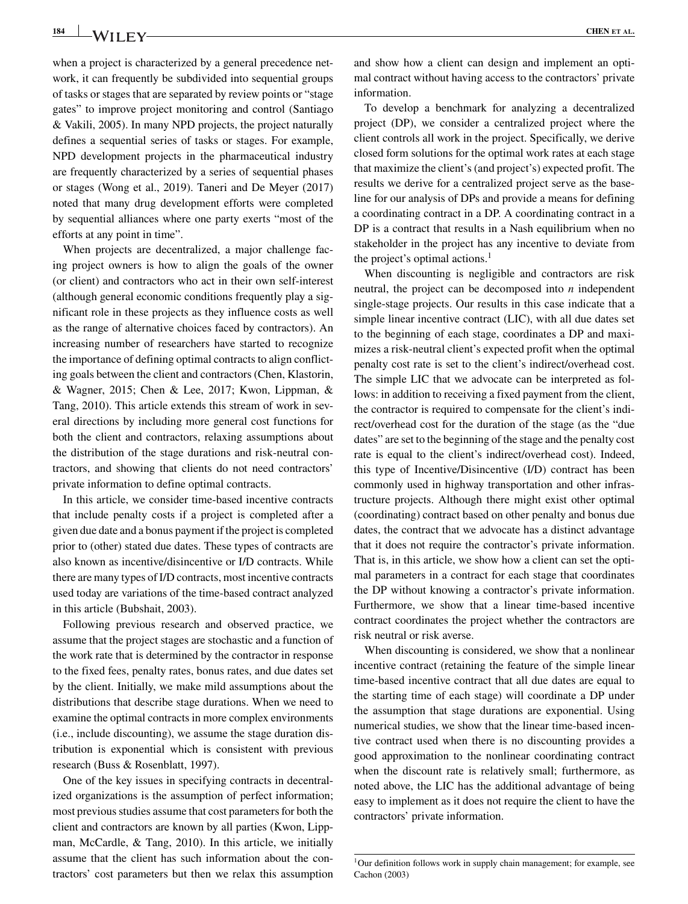when a project is characterized by a general precedence network, it can frequently be subdivided into sequential groups of tasks or stages that are separated by review points or "stage gates" to improve project monitoring and control (Santiago & Vakili, 2005). In many NPD projects, the project naturally defines a sequential series of tasks or stages. For example, NPD development projects in the pharmaceutical industry are frequently characterized by a series of sequential phases or stages (Wong et al., 2019). Taneri and De Meyer (2017) noted that many drug development efforts were completed by sequential alliances where one party exerts "most of the efforts at any point in time".

When projects are decentralized, a major challenge facing project owners is how to align the goals of the owner (or client) and contractors who act in their own self-interest (although general economic conditions frequently play a significant role in these projects as they influence costs as well as the range of alternative choices faced by contractors). An increasing number of researchers have started to recognize the importance of defining optimal contracts to align conflicting goals between the client and contractors (Chen, Klastorin, & Wagner, 2015; Chen & Lee, 2017; Kwon, Lippman, & Tang, 2010). This article extends this stream of work in several directions by including more general cost functions for both the client and contractors, relaxing assumptions about the distribution of the stage durations and risk-neutral contractors, and showing that clients do not need contractors' private information to define optimal contracts.

In this article, we consider time-based incentive contracts that include penalty costs if a project is completed after a given due date and a bonus payment if the project is completed prior to (other) stated due dates. These types of contracts are also known as incentive/disincentive or I/D contracts. While there are many types of I/D contracts, most incentive contracts used today are variations of the time-based contract analyzed in this article (Bubshait, 2003).

Following previous research and observed practice, we assume that the project stages are stochastic and a function of the work rate that is determined by the contractor in response to the fixed fees, penalty rates, bonus rates, and due dates set by the client. Initially, we make mild assumptions about the distributions that describe stage durations. When we need to examine the optimal contracts in more complex environments (i.e., include discounting), we assume the stage duration distribution is exponential which is consistent with previous research (Buss & Rosenblatt, 1997).

One of the key issues in specifying contracts in decentralized organizations is the assumption of perfect information; most previous studies assume that cost parameters for both the client and contractors are known by all parties (Kwon, Lippman, McCardle, & Tang, 2010). In this article, we initially assume that the client has such information about the contractors' cost parameters but then we relax this assumption

and show how a client can design and implement an optimal contract without having access to the contractors' private information.

To develop a benchmark for analyzing a decentralized project (DP), we consider a centralized project where the client controls all work in the project. Specifically, we derive closed form solutions for the optimal work rates at each stage that maximize the client's (and project's) expected profit. The results we derive for a centralized project serve as the baseline for our analysis of DPs and provide a means for defining a coordinating contract in a DP. A coordinating contract in a DP is a contract that results in a Nash equilibrium when no stakeholder in the project has any incentive to deviate from the project's optimal actions. $<sup>1</sup>$  $<sup>1</sup>$  $<sup>1</sup>$ </sup>

When discounting is negligible and contractors are risk neutral, the project can be decomposed into *n* independent single-stage projects. Our results in this case indicate that a simple linear incentive contract (LIC), with all due dates set to the beginning of each stage, coordinates a DP and maximizes a risk-neutral client's expected profit when the optimal penalty cost rate is set to the client's indirect/overhead cost. The simple LIC that we advocate can be interpreted as follows: in addition to receiving a fixed payment from the client, the contractor is required to compensate for the client's indirect/overhead cost for the duration of the stage (as the "due dates" are set to the beginning of the stage and the penalty cost rate is equal to the client's indirect/overhead cost). Indeed, this type of Incentive/Disincentive (I/D) contract has been commonly used in highway transportation and other infrastructure projects. Although there might exist other optimal (coordinating) contract based on other penalty and bonus due dates, the contract that we advocate has a distinct advantage that it does not require the contractor's private information. That is, in this article, we show how a client can set the optimal parameters in a contract for each stage that coordinates the DP without knowing a contractor's private information. Furthermore, we show that a linear time-based incentive contract coordinates the project whether the contractors are risk neutral or risk averse.

When discounting is considered, we show that a nonlinear incentive contract (retaining the feature of the simple linear time-based incentive contract that all due dates are equal to the starting time of each stage) will coordinate a DP under the assumption that stage durations are exponential. Using numerical studies, we show that the linear time-based incentive contract used when there is no discounting provides a good approximation to the nonlinear coordinating contract when the discount rate is relatively small; furthermore, as noted above, the LIC has the additional advantage of being easy to implement as it does not require the client to have the contractors' private information.

<span id="page-1-0"></span><sup>&</sup>lt;sup>1</sup>Our definition follows work in supply chain management; for example, see Cachon (2003)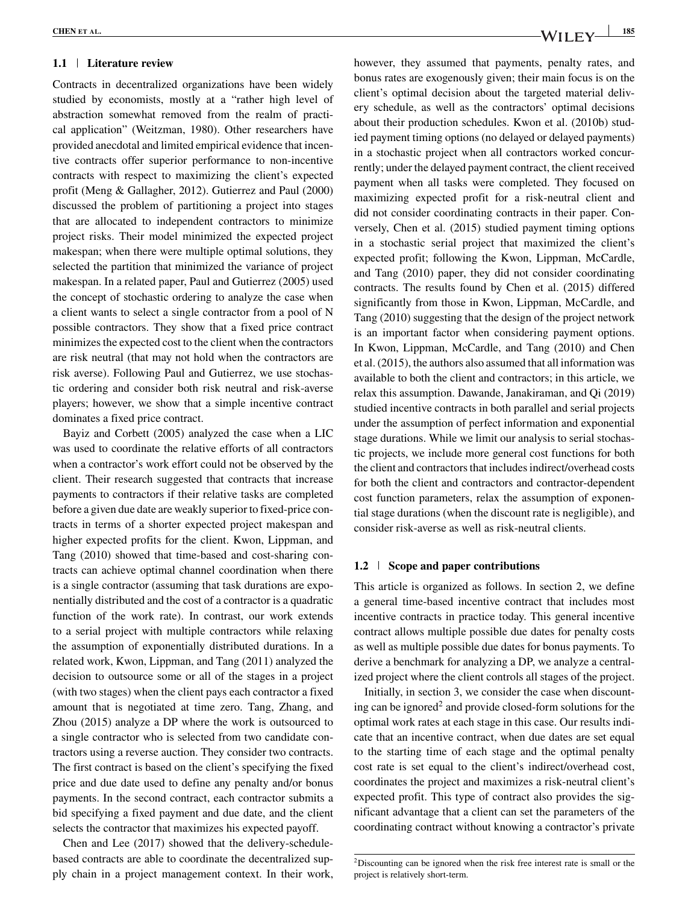#### **1.1 Literature review**

Contracts in decentralized organizations have been widely studied by economists, mostly at a "rather high level of abstraction somewhat removed from the realm of practical application" (Weitzman, 1980). Other researchers have provided anecdotal and limited empirical evidence that incentive contracts offer superior performance to non-incentive contracts with respect to maximizing the client's expected profit (Meng & Gallagher, 2012). Gutierrez and Paul (2000) discussed the problem of partitioning a project into stages that are allocated to independent contractors to minimize project risks. Their model minimized the expected project makespan; when there were multiple optimal solutions, they selected the partition that minimized the variance of project makespan. In a related paper, Paul and Gutierrez (2005) used the concept of stochastic ordering to analyze the case when a client wants to select a single contractor from a pool of N possible contractors. They show that a fixed price contract minimizes the expected cost to the client when the contractors are risk neutral (that may not hold when the contractors are risk averse). Following Paul and Gutierrez, we use stochastic ordering and consider both risk neutral and risk-averse players; however, we show that a simple incentive contract dominates a fixed price contract.

Bayiz and Corbett (2005) analyzed the case when a LIC was used to coordinate the relative efforts of all contractors when a contractor's work effort could not be observed by the client. Their research suggested that contracts that increase payments to contractors if their relative tasks are completed before a given due date are weakly superior to fixed-price contracts in terms of a shorter expected project makespan and higher expected profits for the client. Kwon, Lippman, and Tang (2010) showed that time-based and cost-sharing contracts can achieve optimal channel coordination when there is a single contractor (assuming that task durations are exponentially distributed and the cost of a contractor is a quadratic function of the work rate). In contrast, our work extends to a serial project with multiple contractors while relaxing the assumption of exponentially distributed durations. In a related work, Kwon, Lippman, and Tang (2011) analyzed the decision to outsource some or all of the stages in a project (with two stages) when the client pays each contractor a fixed amount that is negotiated at time zero. Tang, Zhang, and Zhou (2015) analyze a DP where the work is outsourced to a single contractor who is selected from two candidate contractors using a reverse auction. They consider two contracts. The first contract is based on the client's specifying the fixed price and due date used to define any penalty and/or bonus payments. In the second contract, each contractor submits a bid specifying a fixed payment and due date, and the client selects the contractor that maximizes his expected payoff.

Chen and Lee (2017) showed that the delivery-schedulebased contracts are able to coordinate the decentralized supply chain in a project management context. In their work, however, they assumed that payments, penalty rates, and bonus rates are exogenously given; their main focus is on the client's optimal decision about the targeted material delivery schedule, as well as the contractors' optimal decisions about their production schedules. Kwon et al. (2010b) studied payment timing options (no delayed or delayed payments) in a stochastic project when all contractors worked concurrently; under the delayed payment contract, the client received payment when all tasks were completed. They focused on maximizing expected profit for a risk-neutral client and did not consider coordinating contracts in their paper. Conversely, Chen et al. (2015) studied payment timing options in a stochastic serial project that maximized the client's expected profit; following the Kwon, Lippman, McCardle, and Tang (2010) paper, they did not consider coordinating contracts. The results found by Chen et al. (2015) differed significantly from those in Kwon, Lippman, McCardle, and Tang (2010) suggesting that the design of the project network is an important factor when considering payment options. In Kwon, Lippman, McCardle, and Tang (2010) and Chen et al. (2015), the authors also assumed that all information was available to both the client and contractors; in this article, we relax this assumption. Dawande, Janakiraman, and Qi (2019) studied incentive contracts in both parallel and serial projects under the assumption of perfect information and exponential stage durations. While we limit our analysis to serial stochastic projects, we include more general cost functions for both the client and contractors that includes indirect/overhead costs for both the client and contractors and contractor-dependent cost function parameters, relax the assumption of exponential stage durations (when the discount rate is negligible), and consider risk-averse as well as risk-neutral clients.

#### **1.2 Scope and paper contributions**

This article is organized as follows. In section 2, we define a general time-based incentive contract that includes most incentive contracts in practice today. This general incentive contract allows multiple possible due dates for penalty costs as well as multiple possible due dates for bonus payments. To derive a benchmark for analyzing a DP, we analyze a centralized project where the client controls all stages of the project.

Initially, in section 3, we consider the case when discount-ing can be ignored<sup>[2](#page-2-0)</sup> and provide closed-form solutions for the optimal work rates at each stage in this case. Our results indicate that an incentive contract, when due dates are set equal to the starting time of each stage and the optimal penalty cost rate is set equal to the client's indirect/overhead cost, coordinates the project and maximizes a risk-neutral client's expected profit. This type of contract also provides the significant advantage that a client can set the parameters of the coordinating contract without knowing a contractor's private

<span id="page-2-0"></span><sup>2</sup>Discounting can be ignored when the risk free interest rate is small or the project is relatively short-term.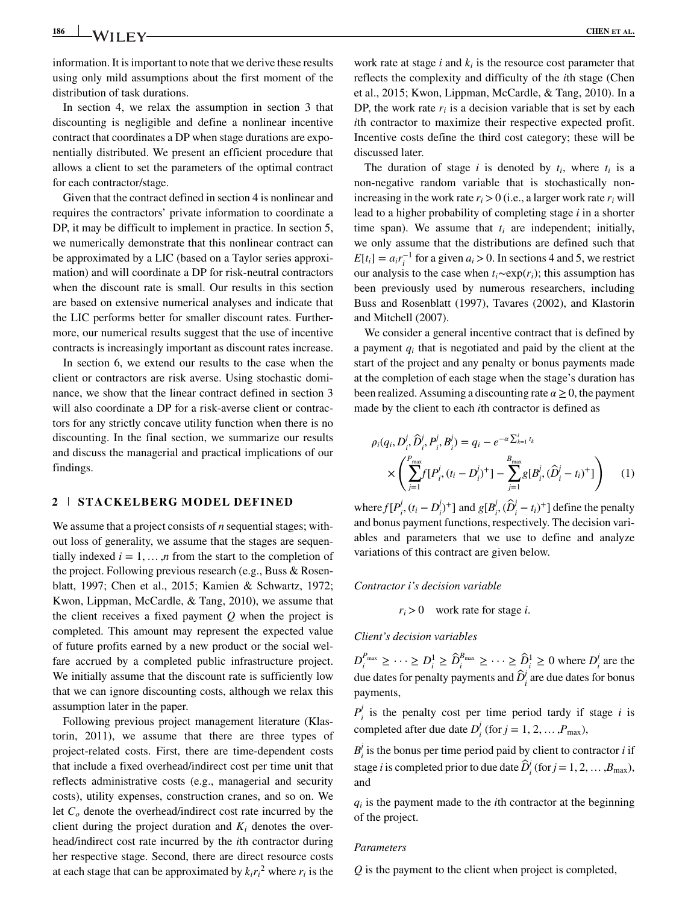**186 LA/II**  $\Gamma$  **CHEN ET AL.** 

information. It is important to note that we derive these results using only mild assumptions about the first moment of the distribution of task durations.

In section 4, we relax the assumption in section 3 that discounting is negligible and define a nonlinear incentive contract that coordinates a DP when stage durations are exponentially distributed. We present an efficient procedure that allows a client to set the parameters of the optimal contract for each contractor/stage.

Given that the contract defined in section 4 is nonlinear and requires the contractors' private information to coordinate a DP, it may be difficult to implement in practice. In section 5, we numerically demonstrate that this nonlinear contract can be approximated by a LIC (based on a Taylor series approximation) and will coordinate a DP for risk-neutral contractors when the discount rate is small. Our results in this section are based on extensive numerical analyses and indicate that the LIC performs better for smaller discount rates. Furthermore, our numerical results suggest that the use of incentive contracts is increasingly important as discount rates increase.

In section 6, we extend our results to the case when the client or contractors are risk averse. Using stochastic dominance, we show that the linear contract defined in section 3 will also coordinate a DP for a risk-averse client or contractors for any strictly concave utility function when there is no discounting. In the final section, we summarize our results and discuss the managerial and practical implications of our findings.

### **2 STACKELBERG MODEL DEFINED**

We assume that a project consists of *n* sequential stages; without loss of generality, we assume that the stages are sequentially indexed  $i = 1, \ldots, n$  from the start to the completion of the project. Following previous research (e.g., Buss & Rosenblatt, 1997; Chen et al., 2015; Kamien & Schwartz, 1972; Kwon, Lippman, McCardle, & Tang, 2010), we assume that the client receives a fixed payment *Q* when the project is completed. This amount may represent the expected value of future profits earned by a new product or the social welfare accrued by a completed public infrastructure project. We initially assume that the discount rate is sufficiently low that we can ignore discounting costs, although we relax this assumption later in the paper.

Following previous project management literature (Klastorin, 2011), we assume that there are three types of project-related costs. First, there are time-dependent costs that include a fixed overhead/indirect cost per time unit that reflects administrative costs (e.g., managerial and security costs), utility expenses, construction cranes, and so on. We let  $C<sub>o</sub>$  denote the overhead/indirect cost rate incurred by the client during the project duration and  $K_i$  denotes the overhead/indirect cost rate incurred by the *i*th contractor during her respective stage. Second, there are direct resource costs at each stage that can be approximated by  $k_i r_i^2$  where  $r_i$  is the

work rate at stage  $i$  and  $k_i$  is the resource cost parameter that reflects the complexity and difficulty of the *i*th stage (Chen et al., 2015; Kwon, Lippman, McCardle, & Tang, 2010). In a DP, the work rate  $r_i$  is a decision variable that is set by each *i*th contractor to maximize their respective expected profit. Incentive costs define the third cost category; these will be discussed later.

The duration of stage  $i$  is denoted by  $t_i$ , where  $t_i$  is a non-negative random variable that is stochastically nonincreasing in the work rate  $r_i > 0$  (i.e., a larger work rate  $r_i$  will lead to a higher probability of completing stage *i* in a shorter time span). We assume that *ti* are independent; initially, we only assume that the distributions are defined such that  $E[t_i] = a_i r_i^{-1}$  for a given  $a_i > 0$ . In sections 4 and 5, we restrict our analysis to the case when *ti*∼exp(*ri*); this assumption has been previously used by numerous researchers, including Buss and Rosenblatt (1997), Tavares (2002), and Klastorin and Mitchell (2007).

We consider a general incentive contract that is defined by a payment *qi* that is negotiated and paid by the client at the start of the project and any penalty or bonus payments made at the completion of each stage when the stage's duration has been realized. Assuming a discounting rate  $\alpha \geq 0$ , the payment made by the client to each *i*th contractor is defined as

$$
\rho_i(q_i, D_i^j, \hat{D}_i^j, P_i^j, B_i^j) = q_i - e^{-\alpha \sum_{k=1}^i t_k} \times \left( \sum_{j=1}^{P_{\text{max}}} f[P_i^j, (t_i - D_i^j)^+] - \sum_{j=1}^{B_{\text{max}}} g[B_i^j, (\hat{D}_i^j - t_i)^+] \right)
$$
(1)

where  $f[P_i^j, (t_i - D_i^j)^+]$  and  $g[B_i^j, (\hat{D}_i^j - t_i)^+]$  define the penalty and bonus payment functions, respectively. The decision variables and parameters that we use to define and analyze variations of this contract are given below.

#### *Contractor i's decision variable*

$$
r_i > 0 \quad \text{work rate for stage } i.
$$

#### *Client's decision variables*

 $D_i^{P_{\text{max}}} \geq \cdots \geq D_i^1 \geq \widehat{D}_i^{B_{\text{max}}} \geq \cdots \geq \widehat{D}_i^1 \geq 0$  where  $D_i^j$  are the due dates for penalty payments and  $\widehat{D}_{i}^{j}$  are due dates for bonus payments,

 $P_i^j$  is the penalty cost per time period tardy if stage *i* is completed after due date  $D_i^j$  (for  $j = 1, 2, ..., P_{\text{max}}$ ),

 $B_i^j$  is the bonus per time period paid by client to contractor *i* if stage *i* is completed prior to due date  $\hat{D}^j_i$  (for  $j = 1, 2, ..., B_{\text{max}}$ ), and

*qi* is the payment made to the *i*th contractor at the beginning of the project.

#### *Parameters*

*Q* is the payment to the client when project is completed,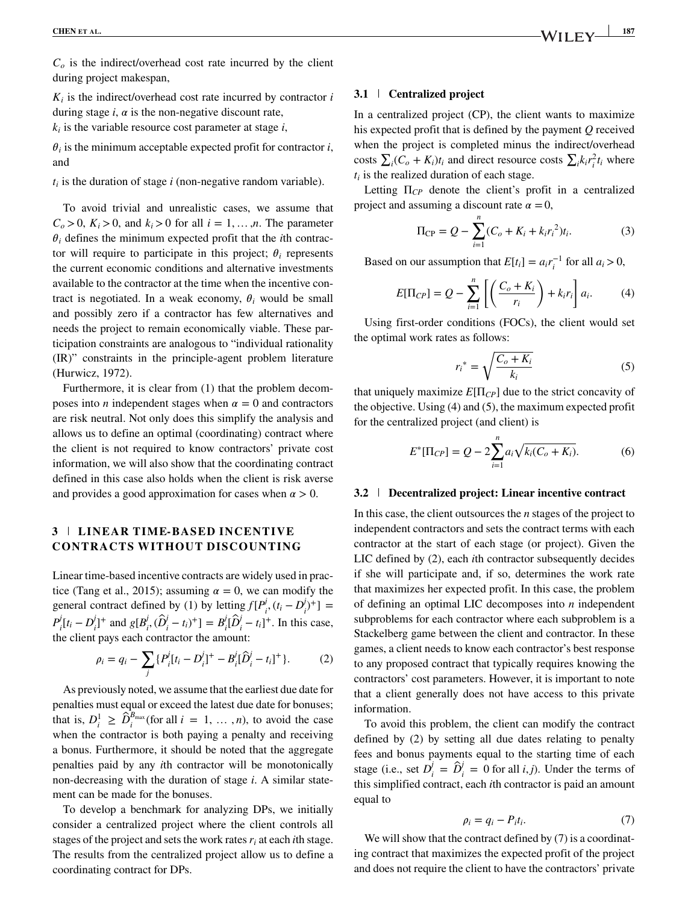$C<sub>o</sub>$  is the indirect/overhead cost rate incurred by the client during project makespan,

 $K_i$  is the indirect/overhead cost rate incurred by contractor  $i$ during stage  $i$ ,  $\alpha$  is the non-negative discount rate,  $k_i$  is the variable resource cost parameter at stage  $i$ ,

 $\theta_i$  is the minimum acceptable expected profit for contractor *i*, and

 $t_i$  is the duration of stage  $i$  (non-negative random variable).

To avoid trivial and unrealistic cases, we assume that  $C_0 > 0$ ,  $K_i > 0$ , and  $k_i > 0$  for all  $i = 1, \ldots, n$ . The parameter  $\theta_i$  defines the minimum expected profit that the *i*th contractor will require to participate in this project;  $\theta_i$  represents the current economic conditions and alternative investments available to the contractor at the time when the incentive contract is negotiated. In a weak economy,  $\theta_i$  would be small and possibly zero if a contractor has few alternatives and needs the project to remain economically viable. These participation constraints are analogous to "individual rationality (IR)" constraints in the principle-agent problem literature (Hurwicz, 1972).

Furthermore, it is clear from (1) that the problem decomposes into *n* independent stages when  $\alpha = 0$  and contractors are risk neutral. Not only does this simplify the analysis and allows us to define an optimal (coordinating) contract where the client is not required to know contractors' private cost information, we will also show that the coordinating contract defined in this case also holds when the client is risk averse and provides a good approximation for cases when  $\alpha > 0$ .

## **3 LINEAR TIME-BASED INCENTIVE CONTRACTS WITHOUT DISCOUNTING**

Linear time-based incentive contracts are widely used in practice (Tang et al., 2015); assuming  $\alpha = 0$ , we can modify the general contract defined by (1) by letting  $f[P^j_i, (t_i - D^j_i)^+]$  $P_i^j[t_i - D_i^j]^+$  and  $g[B_i^j, (\hat{D}_i^j - t_i)^+] = B_i^j[\hat{D}_i^j - t_i]^+$ . In this case, the client pays each contractor the amount:

$$
\rho_i = q_i - \sum_j \{ P_i^j [t_i - D_i^j]^+ - B_i^j [\hat{D}_i^j - t_i]^+ \}.
$$
 (2)

As previously noted, we assume that the earliest due date for penalties must equal or exceed the latest due date for bonuses; that is,  $D_i^1 \geq \hat{D}_i^{B_{\text{max}}}$  (for all  $i = 1, \ldots, n$ ), to avoid the case when the contractor is both paying a penalty and receiving a bonus. Furthermore, it should be noted that the aggregate penalties paid by any *i*th contractor will be monotonically non-decreasing with the duration of stage *i*. A similar statement can be made for the bonuses.

To develop a benchmark for analyzing DPs, we initially consider a centralized project where the client controls all stages of the project and sets the work rates  $r_i$  at each *i*th stage. The results from the centralized project allow us to define a coordinating contract for DPs.

#### **3.1 Centralized project**

In a centralized project (CP), the client wants to maximize his expected profit that is defined by the payment *Q* received when the project is completed minus the indirect/overhead when the project is completed influent the indirection endead costs  $\sum_i k_i r_i^2 t_i$  where  $t_i$  is the realized duration of each stage.

Letting  $\Pi_{CP}$  denote the client's profit in a centralized project and assuming a discount rate  $\alpha = 0$ ,

$$
\Pi_{\rm CP} = Q - \sum_{i=1}^{n} (C_o + K_i + k_i r_i^2) t_i.
$$
 (3)

Based on our assumption that  $E[t_i] = a_i r_i^{-1}$  for all  $a_i > 0$ ,

$$
E[\Pi_{CP}] = Q - \sum_{i=1}^{n} \left[ \left( \frac{C_o + K_i}{r_i} \right) + k_i r_i \right] a_i.
$$
 (4)

Using first-order conditions (FOCs), the client would set the optimal work rates as follows:

$$
r_i^* = \sqrt{\frac{C_o + K_i}{k_i}}\tag{5}
$$

that uniquely maximize  $E[\Pi_{CP}]$  due to the strict concavity of the objective. Using (4) and (5), the maximum expected profit for the centralized project (and client) is

$$
E^*[\Pi_{CP}] = Q - 2 \sum_{i=1}^n a_i \sqrt{k_i (C_o + K_i)}.
$$
 (6)

#### **3.2 Decentralized project: Linear incentive contract**

In this case, the client outsources the *n* stages of the project to independent contractors and sets the contract terms with each contractor at the start of each stage (or project). Given the LIC defined by (2), each *i*th contractor subsequently decides if she will participate and, if so, determines the work rate that maximizes her expected profit. In this case, the problem of defining an optimal LIC decomposes into *n* independent subproblems for each contractor where each subproblem is a Stackelberg game between the client and contractor. In these games, a client needs to know each contractor's best response to any proposed contract that typically requires knowing the contractors' cost parameters. However, it is important to note that a client generally does not have access to this private information.

To avoid this problem, the client can modify the contract defined by (2) by setting all due dates relating to penalty fees and bonus payments equal to the starting time of each stage (i.e., set  $D_i^j = \hat{D}_i^j = 0$  for all *i*, *j*). Under the terms of this simplified contract, each *i*th contractor is paid an amount equal to

$$
\rho_i = q_i - P_i t_i. \tag{7}
$$

We will show that the contract defined by (7) is a coordinating contract that maximizes the expected profit of the project and does not require the client to have the contractors' private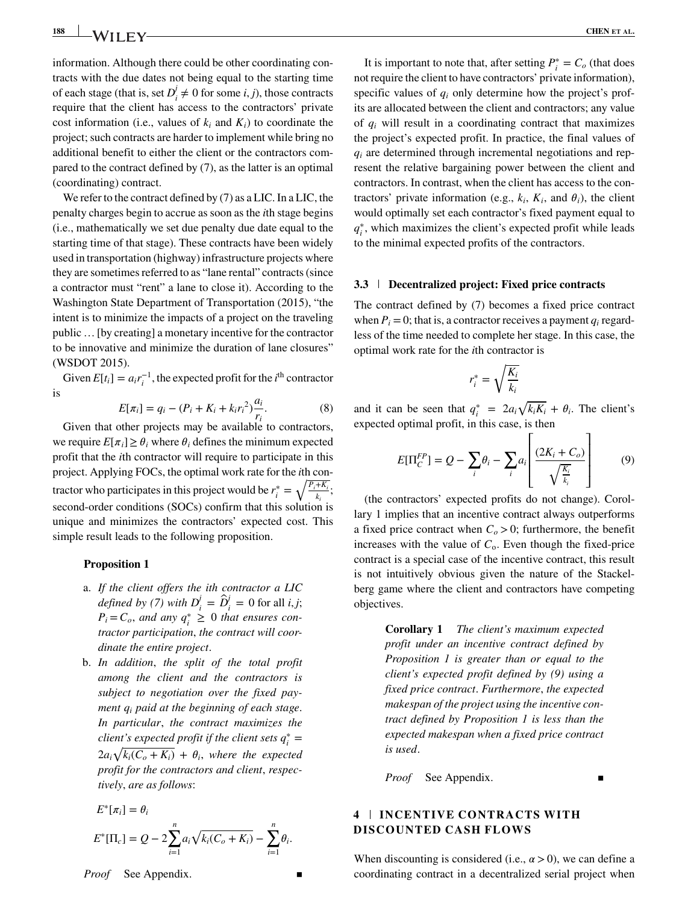information. Although there could be other coordinating contracts with the due dates not being equal to the starting time of each stage (that is, set  $D_i^j \neq 0$  for some *i*, *j*), those contracts require that the client has access to the contractors' private cost information (i.e., values of  $k_i$  and  $K_i$ ) to coordinate the project; such contracts are harder to implement while bring no additional benefit to either the client or the contractors compared to the contract defined by (7), as the latter is an optimal (coordinating) contract.

We refer to the contract defined by (7) as a LIC. In a LIC, the penalty charges begin to accrue as soon as the *i*th stage begins (i.e., mathematically we set due penalty due date equal to the starting time of that stage). These contracts have been widely used in transportation (highway) infrastructure projects where they are sometimes referred to as "lane rental" contracts (since a contractor must "rent" a lane to close it). According to the Washington State Department of Transportation (2015), "the intent is to minimize the impacts of a project on the traveling public…[by creating] a monetary incentive for the contractor to be innovative and minimize the duration of lane closures" (WSDOT 2015).

Given  $E[t_i] = a_i r_i^{-1}$ , the expected profit for the *i*<sup>th</sup> contractor is

$$
E[\pi_i] = q_i - (P_i + K_i + k_i r_i^2) \frac{a_i}{r_i}.
$$
 (8)

Given that other projects may be available to contractors, we require  $E[\pi_i] \geq \theta_i$  where  $\theta_i$  defines the minimum expected profit that the *i*th contractor will require to participate in this project. Applying FOCs, the optimal work rate for the *i*th conproject. Applying FOCs, the optimal work rate for the *i*th contractor who participates in this project would be  $r_i^* = \sqrt{\frac{P_i + K_i}{k_i}}$  $\frac{\mathbf{f} \cdot \mathbf{h}_i}{k_i};$ second-order conditions (SOCs) confirm that this solution is unique and minimizes the contractors' expected cost. This simple result leads to the following proposition.

#### **Proposition 1**

- a. *If the client offers the ith contractor a LIC defined by (7) with*  $D_i^j = \hat{D}_i^j = 0$  *for all <i>i*, *j*;  $P_i = C_o$ , and any  $q_i^* \geq 0$  that ensures con*tractor participation*, *the contract will coordinate the entire project*.
- b. *In addition*, *the split of the total profit among the client and the contractors is subject to negotiation over the fixed payment qi paid at the beginning of each stage*. *In particular*, *the contract maximizes the client's expected profit if the client sets*  $q_i^* =$  $2a_i\sqrt{k_i(C_o+K_i)} + \theta_i$ , where the expected *profit for the contractors and client*, *respectively*, *are as follows*:

$$
E^*[\pi_i] = \theta_i
$$
  

$$
E^*[\Pi_c] = Q - 2\sum_{i=1}^n a_i \sqrt{k_i(C_o + K_i)} - \sum_{i=1}^n \theta_i.
$$

$$
\overline{a}
$$

It is important to note that, after setting  $P_i^* = C_o$  (that does not require the client to have contractors' private information), specific values of *qi* only determine how the project's profits are allocated between the client and contractors; any value of *qi* will result in a coordinating contract that maximizes the project's expected profit. In practice, the final values of *qi* are determined through incremental negotiations and represent the relative bargaining power between the client and contractors. In contrast, when the client has access to the contractors' private information (e.g.,  $k_i$ ,  $K_i$ , and  $\theta_i$ ), the client would optimally set each contractor's fixed payment equal to *q*<sup>∗</sup>, which maximizes the client's expected profit while leads to the minimal expected profits of the contractors.

#### **3.3 Decentralized project: Fixed price contracts**

The contract defined by (7) becomes a fixed price contract when  $P_i = 0$ ; that is, a contractor receives a payment  $q_i$  regardless of the time needed to complete her stage. In this case, the optimal work rate for the *i*th contractor is

$$
r_i^* = \sqrt{\frac{K_i}{k_i}}
$$

and it can be seen that  $q_i^* = 2a_i$  $k_i K_i + \theta_i$ . The client's expected optimal profit, in this case, is then

$$
E[\Pi_C^{FP}] = Q - \sum_i \theta_i - \sum_i a_i \left[ \frac{(2K_i + C_o)}{\sqrt{\frac{K_i}{k_i}}} \right]
$$
(9)

 $\overline{\mathbf{u}}$ 

(the contractors' expected profits do not change). Corollary 1 implies that an incentive contract always outperforms a fixed price contract when  $C<sub>o</sub> > 0$ ; furthermore, the benefit increases with the value of  $C_0$ . Even though the fixed-price contract is a special case of the incentive contract, this result is not intuitively obvious given the nature of the Stackelberg game where the client and contractors have competing objectives.

> **Corollary 1** *The client's maximum expected profit under an incentive contract defined by Proposition 1 is greater than or equal to the client's expected profit defined by (9) using a fixed price contract*. *Furthermore*, *the expected makespan of the project using the incentive contract defined by Proposition 1 is less than the expected makespan when a fixed price contract is used*.

> *Proof* See Appendix.

## **4 INCENTIVE CONTRACTS WITH DISCOUNTED CASH FLOWS**

When discounting is considered (i.e.,  $\alpha > 0$ ), we can define a coordinating contract in a decentralized serial project when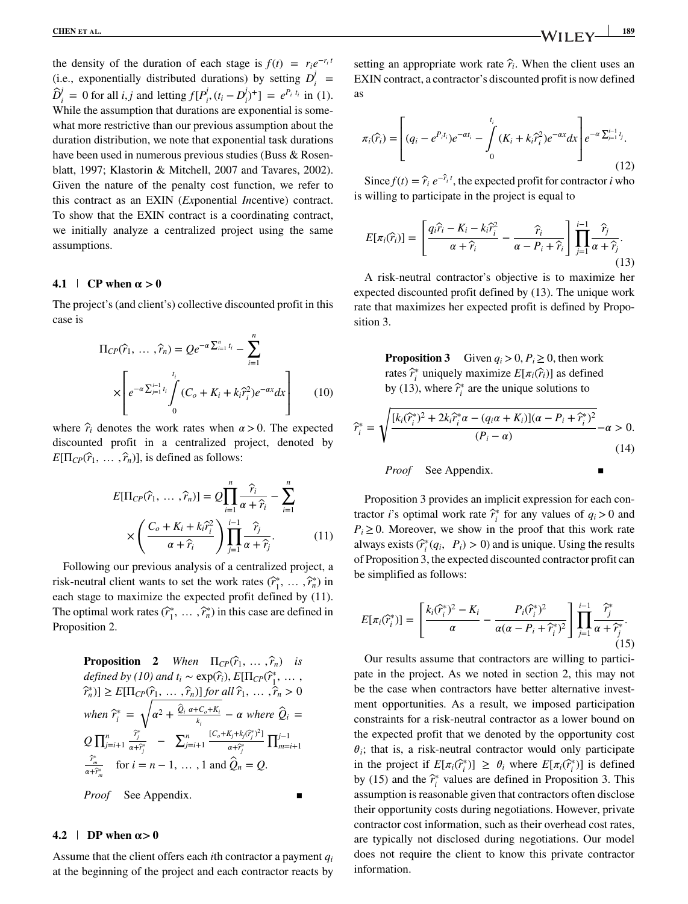the density of the duration of each stage is  $f(t) = r_i e^{-r_i t}$ (i.e., exponentially distributed durations) by setting  $D_i^j$  $\hat{D}^j_i = 0$  for all *i*, *j* and letting  $f[P^j_i, (t_i - D^j_i)^+] = e^{P_i t_i}$  in (1). While the assumption that durations are exponential is somewhat more restrictive than our previous assumption about the duration distribution, we note that exponential task durations have been used in numerous previous studies (Buss & Rosenblatt, 1997; Klastorin & Mitchell, 2007 and Tavares, 2002). Given the nature of the penalty cost function, we refer to this contract as an EXIN (*Ex*ponential *In*centive) contract. To show that the EXIN contract is a coordinating contract, we initially analyze a centralized project using the same assumptions.

#### **4.1**  $\mathbf{CP}$  when  $\alpha > 0$

The project's (and client's) collective discounted profit in this case is

$$
\Pi_{CP}(\hat{r}_1, \dots, \hat{r}_n) = Q e^{-\alpha \sum_{i=1}^n t_i} - \sum_{i=1}^n
$$
\n
$$
\times \left[ e^{-\alpha \sum_{j=1}^{i-1} t_i} \int_0^{t_i} (C_o + K_i + k_i \hat{r}_i^2) e^{-\alpha x} dx \right]
$$
\n(10)

where  $\hat{r}_i$  denotes the work rates when  $\alpha > 0$ . The expected discounted profit in a centralized project, denoted by  $E[\Pi_{CP}(\hat{r}_1, \ldots, \hat{r}_n)]$ , is defined as follows:

$$
E[\Pi_{CP}(\hat{r}_1, \dots, \hat{r}_n)] = Q \prod_{i=1}^n \frac{\hat{r}_i}{\alpha + \hat{r}_i} - \sum_{i=1}^n
$$

$$
\times \left( \frac{C_o + K_i + k_i \hat{r}_i^2}{\alpha + \hat{r}_i} \right) \prod_{j=1}^{i-1} \frac{\hat{r}_j}{\alpha + \hat{r}_j}.
$$
(11)

Following our previous analysis of a centralized project, a risk-neutral client wants to set the work rates  $(\hat{r}_1^*, \dots, \hat{r}_n^*)$  in each stage to maximize the expected profit defined by (11). The optimal work rates  $(\hat{r}_1^*, \ldots, \hat{r}_n^*)$  in this case are defined in Proposition 2.

> **Proposition 2** *When*  $\Pi_{CP}(\hat{r}_1, \ldots, \hat{r}_n)$  *is defined by (10) and t<sub>i</sub>*  $\sim$   $\exp(\hat{r}_i)$ ,  $E[\Pi_{CP}(\hat{r}_1^*, \dots, \hat{r}_n^*)]$  $\hat{r}_n^*$ )]  $\geq E[\Pi_{CP}(\hat{r}_1, \ldots, \hat{r}_n)]$  *for all*  $\hat{r}_1, \ldots, \hat{r}_n > 0$ *when*  $\hat{r}_i^* = \sqrt{\alpha^2 + \frac{\hat{Q}_i \alpha + C_o + K_i}{k_i} - \alpha}$  where  $\hat{Q}_i =$ *Q*  $\prod_{j=i+1}^{n}$  $\frac{\hat{r}^*_j}{\alpha + \hat{r}^*_j}$  − ∑*n*<sub>j=*i*+1</sub>  $[C_o+K_j+k_j(\hat{r}_j^*)^2]$  $\alpha + \hat{r}^*$ ∏*<sup>j</sup>*−<sup>1</sup> *m*=*i*+1  $\frac{\hat{r}^*_{m}}{\alpha + \hat{r}^*_{m}}$  for *i* = *n* − 1*,* …, 1 and  $\hat{Q}_n = Q$ . *Proof* See Appendix.

#### $4.2$  **DP** when  $\alpha > 0$

Assume that the client offers each *i*th contractor a payment *qi* at the beginning of the project and each contractor reacts by

setting an appropriate work rate  $\hat{r}_i$ . When the client uses an EXIN contract, a contractor's discounted profit is now defined as

$$
\pi_i(\widehat{r}_i) = \left[ (q_i - e^{P_i t_i}) e^{-\alpha t_i} - \int\limits_0^{t_i} (K_i + k_i \widehat{r}_i^2) e^{-\alpha x} dx \right] e^{-\alpha \sum_{j=1}^{i-1} t_j}.
$$
\n(12)

Since  $f(t) = \hat{r}_i e^{-\hat{r}_i t}$ , the expected profit for contractor *i* who is willing to participate in the project is equal to

$$
E[\pi_i(\widehat{r}_i)] = \left[\frac{q_i\widehat{r}_i - K_i - k_i\widehat{r}_i^2}{\alpha + \widehat{r}_i} - \frac{\widehat{r}_i}{\alpha - P_i + \widehat{r}_i}\right] \prod_{j=1}^{i-1} \frac{\widehat{r}_j}{\alpha + \widehat{r}_j}.
$$
\n(13)

A risk-neutral contractor's objective is to maximize her expected discounted profit defined by (13). The unique work rate that maximizes her expected profit is defined by Proposition 3.

> **Proposition 3** Given  $q_i > 0$ ,  $P_i \ge 0$ , then work rates  $\hat{r}_i^*$  uniquely maximize  $E[\pi_i(\hat{r}_i)]$  as defined by (13), where  $\hat{r}_i^*$  are the unique solutions to

$$
\hat{r}_i^* = \sqrt{\frac{[k_i(\hat{r}_i^*)^2 + 2k_i\hat{r}_i^*\alpha - (q_i\alpha + K_i)](\alpha - P_i + \hat{r}_i^*)^2}{(P_i - \alpha)}} - \alpha > 0.
$$
\n(14) *Proof* See Appendix.

Proposition 3 provides an implicit expression for each contractor *i*'s optimal work rate  $\hat{r}_i^*$  for any values of  $q_i > 0$  and  $P_i \geq 0$ . Moreover, we show in the proof that this work rate always exists ( $\hat{r}_i^*(q_i, P_i) > 0$ ) and is unique. Using the results of Proposition 3, the expected discounted contractor profit can be simplified as follows:

$$
E[\pi_i(\widehat{r}_i^*)] = \left[\frac{k_i(\widehat{r}_i^*)^2 - K_i}{\alpha} - \frac{P_i(\widehat{r}_i^*)^2}{\alpha(\alpha - P_i + \widehat{r}_i^*)^2}\right] \prod_{j=1}^{i-1} \frac{\widehat{r}_j^*}{\alpha + \widehat{r}_j^*}.
$$
\n(15)

Our results assume that contractors are willing to participate in the project. As we noted in section 2, this may not be the case when contractors have better alternative investment opportunities. As a result, we imposed participation constraints for a risk-neutral contractor as a lower bound on the expected profit that we denoted by the opportunity cost  $\theta_i$ ; that is, a risk-neutral contractor would only participate in the project if  $E[\pi_i(\hat{r}_i^*)] \geq \theta_i$  where  $E[\pi_i(\hat{r}_i^*)]$  is defined by (15) and the  $\hat{r}_i^*$  values are defined in Proposition 3. This assumption is reasonable given that contractors often disclose their opportunity costs during negotiations. However, private contractor cost information, such as their overhead cost rates, are typically not disclosed during negotiations. Our model does not require the client to know this private contractor information.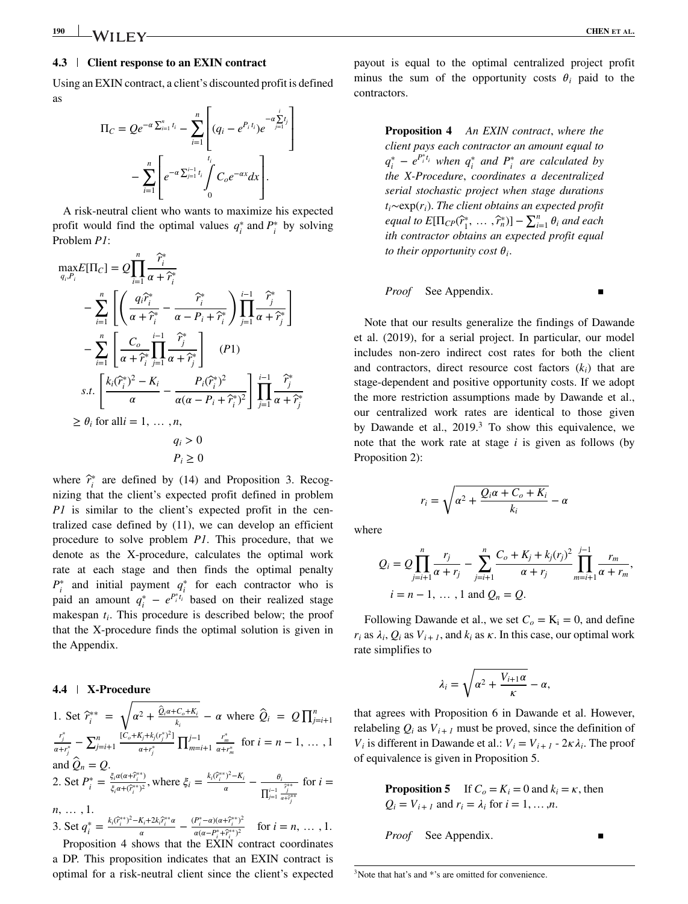#### **4.3 Client response to an EXIN contract**

Using an EXIN contract, a client's discounted profit is defined as



A risk-neutral client who wants to maximize his expected profit would find the optimal values  $q_i^*$  and  $P_i^*$  by solving Problem *P1*:

$$
\max_{q_i, P_i} E[\Pi_C] = Q \prod_{i=1}^n \frac{\hat{r}_i^*}{\alpha + \hat{r}_i^*}
$$
\n
$$
- \sum_{i=1}^n \left[ \left( \frac{q_i \hat{r}_i^*}{\alpha + \hat{r}_i^*} - \frac{\hat{r}_i^*}{\alpha - P_i + \hat{r}_i^*} \right) \prod_{j=1}^{i-1} \frac{\hat{r}_j^*}{\alpha + \hat{r}_j^*} \right]
$$
\n
$$
- \sum_{i=1}^n \left[ \frac{C_o}{\alpha + \hat{r}_i^*} \prod_{j=1}^{i-1} \frac{\hat{r}_j^*}{\alpha + \hat{r}_j^*} \right] (P1)
$$
\n
$$
s.t. \left[ \frac{k_i (\hat{r}_i^*)^2 - K_i}{\alpha} - \frac{P_i (\hat{r}_i^*)^2}{\alpha (\alpha - P_i + \hat{r}_i^*)^2} \right] \prod_{j=1}^{i-1} \frac{\hat{r}_j^*}{\alpha + \hat{r}_j^*}
$$
\n
$$
\geq \theta_i \text{ for all } i = 1, ..., n, \qquad q_i > 0
$$
\n
$$
P_i \geq 0
$$

where  $\hat{r}_i^*$  are defined by (14) and Proposition 3. Recognizing that the client's expected profit defined in problem *P1* is similar to the client's expected profit in the centralized case defined by (11), we can develop an efficient procedure to solve problem *P1*. This procedure, that we denote as the X-procedure, calculates the optimal work rate at each stage and then finds the optimal penalty  $P_i^*$  and initial payment  $q_i^*$  for each contractor who is paid an amount  $q_i^* - e^{P_i^* t_i}$  based on their realized stage makespan *ti*. This procedure is described below; the proof that the X-procedure finds the optimal solution is given in the Appendix.

## **4.4 X-Procedure** √

1. Set  $\hat{r}_i^{**} = \sqrt{\alpha^2 + \frac{\hat{Q}_i \alpha + C_o + K_i}{k_i}} - \alpha$  where  $\hat{Q}_i = Q \prod_{j=i+1}^n$  $\frac{r_j^*}{a+r_j^*}$  –  $\sum_{j=i+1}^n$  $[C_o+K_j+k_j(r_j^*)^2]$  $a+r_j^*$ ∏*<sup>j</sup>*−<sup>1</sup> *m*=*i*+1  $\frac{r_m^*}{\alpha + r_m^*}$  for  $i = n - 1, \ldots, 1$ and  $\hat{Q}_n = Q$ . 2. Set  $P_i^* = \frac{\xi_i \alpha (\alpha + \hat{r}_i^{**})}{\xi_i \alpha + (\hat{r}_i^{**})^2}$  $\zeta_i \alpha(\alpha + \hat{r}^{**}_i)$ , where  $\zeta_i = \frac{k_i(\hat{r}^{**}_i)^2 - K_i}{\alpha} - \frac{\theta_i}{\prod_{j=1}^{i-1} \zeta_j}$ *̂r*∗∗ *j* +*̂r*∗∗ *j* for  $i =$ *n,* … *,* 1*.* 3. Set  $q_i^* = \frac{k_i(\hat{r}_i^{**})^2 - K_i + 2k_i\hat{r}_i^{**}\alpha}{\alpha} - \frac{(P_i^* - \alpha)(\alpha + \hat{r}_i^{**})^2}{\alpha(\alpha - P_i^* + \hat{r}_i^{**})^2}$  $\int_{\alpha(\alpha-P_i^*+\hat{P}_i^{**})^2}^{P_i-\alpha(\alpha+P_i)}$  for  $i=n, ..., 1$ .

Proposition 4 shows that the EXIN contract coordinates a DP. This proposition indicates that an EXIN contract is optimal for a risk-neutral client since the client's expected payout is equal to the optimal centralized project profit minus the sum of the opportunity costs  $\theta_i$  paid to the contractors.

> **Proposition 4** *An EXIN contract*, *where the client pays each contractor an amount equal to*  $q_i^* - e^{P_i^* t_i}$  *when*  $q_i^*$  *and*  $P_i^*$  *are calculated by the X-Procedure*, *coordinates a decentralized serial stochastic project when stage durations ti*∼exp(*ri*). *The client obtains an expected profit*  $e_i \sim \exp(i_i)$ . The chem obtains an expected profition  $e_i$  and each  $e_i$  and each  $e_i$  and each  $e_i$ *ith contractor obtains an expected profit equal to their opportunity cost*  $\theta_i$ .

#### *Proof* See Appendix.

Note that our results generalize the findings of Dawande et al. (2019), for a serial project. In particular, our model includes non-zero indirect cost rates for both the client and contractors, direct resource cost factors (*ki*) that are stage-dependent and positive opportunity costs. If we adopt the more restriction assumptions made by Dawande et al., our centralized work rates are identical to those given by Dawande et al.,  $2019<sup>3</sup>$  $2019<sup>3</sup>$  $2019<sup>3</sup>$  To show this equivalence, we note that the work rate at stage *i* is given as follows (by Proposition 2):

$$
r_i = \sqrt{\alpha^2 + \frac{Q_i \alpha + C_o + K_i}{k_i}} - \alpha
$$

where

$$
Q_i = Q \prod_{j=i+1}^n \frac{r_j}{\alpha + r_j} - \sum_{j=i+1}^n \frac{C_o + K_j + k_j(r_j)^2}{\alpha + r_j} \prod_{m=i+1}^{j-1} \frac{r_m}{\alpha + r_m},
$$
  
 $i = n - 1, ..., 1$  and  $Q_n = Q$ .

Following Dawande et al., we set  $C_0 = K_i = 0$ , and define  $r_i$  as  $\lambda_i$ ,  $Q_i$  as  $V_{i+1}$ , and  $k_i$  as  $\kappa$ . In this case, our optimal work rate simplifies to

$$
\lambda_i = \sqrt{\alpha^2 + \frac{V_{i+1}\alpha}{\kappa}} - \alpha,
$$

that agrees with Proposition 6 in Dawande et al. However, relabeling  $Q_i$  as  $V_{i+1}$  must be proved, since the definition of *V<sub>i</sub>* is different in Dawande et al.:  $V_i = V_{i+1} - 2\kappa \lambda_i$ . The proof of equivalence is given in Proposition 5.

> **Proposition 5** If  $C<sub>o</sub> = K<sub>i</sub> = 0$  and  $k<sub>i</sub> = \kappa$ , then  $Q_i = V_{i+1}$  and  $r_i = \lambda_i$  for  $i = 1, ..., n$ .

*Proof* See Appendix. ▪

<span id="page-7-0"></span>3Note that hat's and \*'s are omitted for convenience.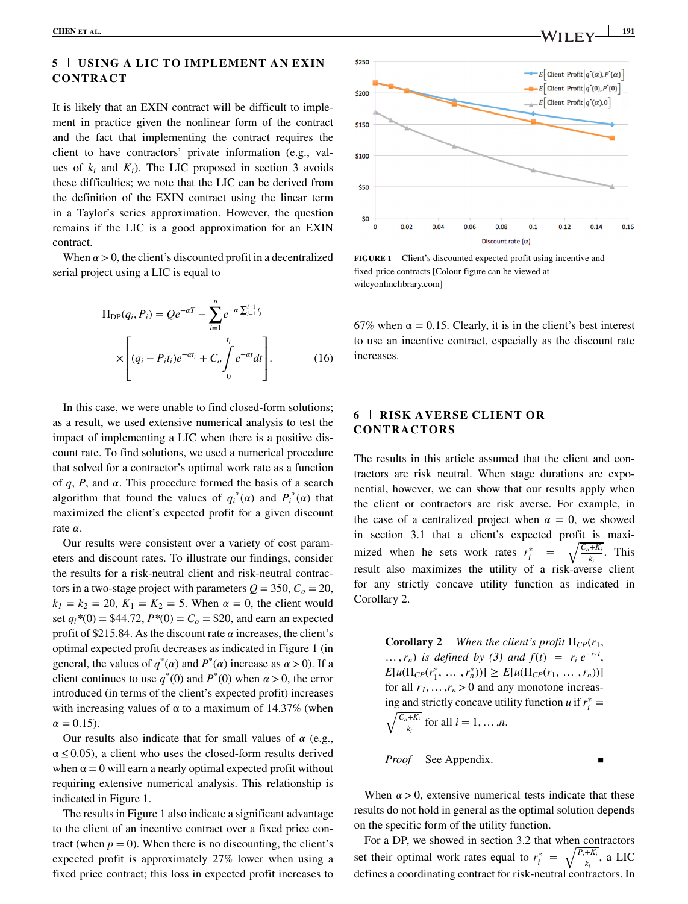## **5 USING A LIC TO IMPLEMENT AN EXIN CONTRACT**

It is likely that an EXIN contract will be difficult to implement in practice given the nonlinear form of the contract and the fact that implementing the contract requires the client to have contractors' private information (e.g., values of  $k_i$  and  $K_i$ ). The LIC proposed in section 3 avoids these difficulties; we note that the LIC can be derived from the definition of the EXIN contract using the linear term in a Taylor's series approximation. However, the question remains if the LIC is a good approximation for an EXIN contract.

When  $\alpha > 0$ , the client's discounted profit in a decentralized serial project using a LIC is equal to

$$
\Pi_{\rm DP}(q_i, P_i) = Qe^{-\alpha T} - \sum_{i=1}^{n} e^{-\alpha \sum_{j=1}^{i-1} t_j} \times \left[ (q_i - P_i t_i)e^{-\alpha t_i} + C_o \int_0^{t_i} e^{-\alpha t} dt \right].
$$
\n(16)

In this case, we were unable to find closed-form solutions; as a result, we used extensive numerical analysis to test the impact of implementing a LIC when there is a positive discount rate. To find solutions, we used a numerical procedure that solved for a contractor's optimal work rate as a function of  $q$ ,  $P$ , and  $\alpha$ . This procedure formed the basis of a search algorithm that found the values of  $q_i^*(\alpha)$  and  $P_i^*(\alpha)$  that maximized the client's expected profit for a given discount rate  $\alpha$ .

Our results were consistent over a variety of cost parameters and discount rates. To illustrate our findings, consider the results for a risk-neutral client and risk-neutral contractors in a two-stage project with parameters  $Q = 350$ ,  $C<sub>o</sub> = 20$ ,  $k_1 = k_2 = 20$ ,  $K_1 = K_2 = 5$ . When  $\alpha = 0$ , the client would set  $q_i^*(0) = $44.72$ ,  $P^*(0) = C_o = $20$ , and earn an expected profit of \$215.84. As the discount rate  $\alpha$  increases, the client's optimal expected profit decreases as indicated in Figure 1 (in general, the values of  $q^*(\alpha)$  and  $P^*(\alpha)$  increase as  $\alpha > 0$ ). If a client continues to use  $q^*(0)$  and  $P^*(0)$  when  $\alpha > 0$ , the error introduced (in terms of the client's expected profit) increases with increasing values of  $\alpha$  to a maximum of 14.37% (when  $\alpha = 0.15$ ).

Our results also indicate that for small values of  $\alpha$  (e.g.,  $\alpha \leq 0.05$ ), a client who uses the closed-form results derived when  $\alpha = 0$  will earn a nearly optimal expected profit without requiring extensive numerical analysis. This relationship is indicated in Figure 1.

The results in Figure 1 also indicate a significant advantage to the client of an incentive contract over a fixed price contract (when  $p = 0$ ). When there is no discounting, the client's expected profit is approximately 27% lower when using a fixed price contract; this loss in expected profit increases to



**FIGURE 1** Client's discounted expected profit using incentive and fixed-price contracts [Colour figure can be viewed at [wileyonlinelibrary.com\]](http://wileyonlinelibrary.com)

67% when  $\alpha = 0.15$ . Clearly, it is in the client's best interest to use an incentive contract, especially as the discount rate increases.

## **6 RISK AVERSE CLIENT OR CONTRACTORS**

The results in this article assumed that the client and contractors are risk neutral. When stage durations are exponential, however, we can show that our results apply when the client or contractors are risk averse. For example, in the case of a centralized project when  $\alpha = 0$ , we showed in section 3.1 that a client's expected profit is maxiin section 3.1 that a client's expected profit is<br>mized when he sets work rates  $r_i^* = \sqrt{\frac{C_o + K_i}{k_i}}$  $\frac{1}{k_i}$ . This result also maximizes the utility of a risk-averse client for any strictly concave utility function as indicated in Corollary 2.

> **Corollary 2** *When the client's profit*  $\Pi_{CP}(r_1, r_2)$ ...,  $r_n$ ) *is defined by (3) and*  $f(t) = r_i e^{-r_i t}$ *,*  $E[u(\Pi_{CP}(r_1^*, \ldots, r_n^*))] \ge E[u(\Pi_{CP}(r_1, \ldots, r_n))]$ for all  $r_1, \ldots, r_n > 0$  and any monotone increasing and strictly concave utility function *u* if  $r_i^* = \sqrt{\frac{C_o + K_i}{r}}$  for all  $i = 1, \ldots, n$  $\frac{\partial f_i}{\partial x_i}$  for all  $i = 1, \ldots, n$ .

> *Proof* See Appendix. ■

When  $\alpha > 0$ , extensive numerical tests indicate that these results do not hold in general as the optimal solution depends on the specific form of the utility function.

For a DP, we showed in section 3.2 that when contractors For a DP, we showed in section 3.2 that when conset their optimal work rates equal to  $r_i^* = \sqrt{\frac{P_i + K_i}{k_i}}$  $\frac{+\kappa_i}{k_i}$ , a LIC defines a coordinating contract for risk-neutral contractors. In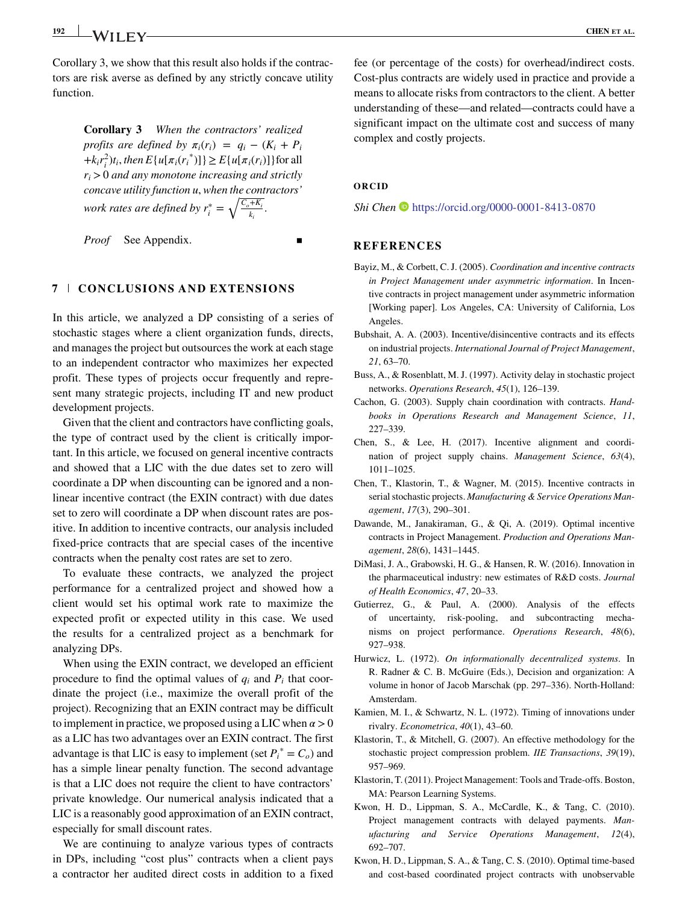**192 CHEN ET AL. CHEN ET AL.** 

Corollary 3, we show that this result also holds if the contractors are risk averse as defined by any strictly concave utility function.

> **Corollary 3** *When the contractors' realized profits are defined by*  $\pi_i(r_i) = q_i - (K_i + P_i)$  $+k_i r_i^2$ )*t<sub>i</sub>*, *then*  $E\{u[\pi_i(r_i^*)]\} \ge E\{u[\pi_i(r_i)]\}$  for all *ri >*0 *and any monotone increasing and strictly concave utility function u*, *when the contractors' concave unury junction u, when the con*<br>*work rates are defined by r* $^*_{i} = \sqrt{\frac{C_o + K_i}{k_i}}$  $\frac{+\kappa_i}{k_i}$ .

*Proof* See Appendix. ■

**7 CONCLUSIONS AND EXTENSIONS**

In this article, we analyzed a DP consisting of a series of stochastic stages where a client organization funds, directs, and manages the project but outsources the work at each stage to an independent contractor who maximizes her expected profit. These types of projects occur frequently and represent many strategic projects, including IT and new product development projects.

Given that the client and contractors have conflicting goals, the type of contract used by the client is critically important. In this article, we focused on general incentive contracts and showed that a LIC with the due dates set to zero will coordinate a DP when discounting can be ignored and a nonlinear incentive contract (the EXIN contract) with due dates set to zero will coordinate a DP when discount rates are positive. In addition to incentive contracts, our analysis included fixed-price contracts that are special cases of the incentive contracts when the penalty cost rates are set to zero.

To evaluate these contracts, we analyzed the project performance for a centralized project and showed how a client would set his optimal work rate to maximize the expected profit or expected utility in this case. We used the results for a centralized project as a benchmark for analyzing DPs.

When using the EXIN contract, we developed an efficient procedure to find the optimal values of  $q_i$  and  $P_i$  that coordinate the project (i.e., maximize the overall profit of the project). Recognizing that an EXIN contract may be difficult to implement in practice, we proposed using a LIC when  $\alpha > 0$ as a LIC has two advantages over an EXIN contract. The first advantage is that LIC is easy to implement (set  $P_i^* = C_o$ ) and has a simple linear penalty function. The second advantage is that a LIC does not require the client to have contractors' private knowledge. Our numerical analysis indicated that a LIC is a reasonably good approximation of an EXIN contract, especially for small discount rates.

We are continuing to analyze various types of contracts in DPs, including "cost plus" contracts when a client pays a contractor her audited direct costs in addition to a fixed

fee (or percentage of the costs) for overhead/indirect costs. Cost-plus contracts are widely used in practice and provide a means to allocate risks from contractors to the client. A better understanding of these—and related—contracts could have a significant impact on the ultimate cost and success of many complex and costly projects.

#### **ORCID**

*Shi Chen* <https://orcid.org/0000-0001-8413-0870>

#### **REFERENCES**

- Bayiz, M., & Corbett, C. J. (2005). *Coordination and incentive contracts in Project Management under asymmetric information*. In Incentive contracts in project management under asymmetric information [Working paper]. Los Angeles, CA: University of California, Los Angeles.
- Bubshait, A. A. (2003). Incentive/disincentive contracts and its effects on industrial projects. *International Journal of Project Management*, *21*, 63–70.
- Buss, A., & Rosenblatt, M. J. (1997). Activity delay in stochastic project networks. *Operations Research*, *45*(1), 126–139.
- Cachon, G. (2003). Supply chain coordination with contracts. *Handbooks in Operations Research and Management Science*, *11*, 227–339.
- Chen, S., & Lee, H. (2017). Incentive alignment and coordination of project supply chains. *Management Science*, *63*(4), 1011–1025.
- Chen, T., Klastorin, T., & Wagner, M. (2015). Incentive contracts in serial stochastic projects. *Manufacturing & Service Operations Management*, *17*(3), 290–301.
- Dawande, M., Janakiraman, G., & Qi, A. (2019). Optimal incentive contracts in Project Management. *Production and Operations Management*, *28*(6), 1431–1445.
- DiMasi, J. A., Grabowski, H. G., & Hansen, R. W. (2016). Innovation in the pharmaceutical industry: new estimates of R&D costs. *Journal of Health Economics*, *47*, 20–33.
- Gutierrez, G., & Paul, A. (2000). Analysis of the effects of uncertainty, risk-pooling, and subcontracting mechanisms on project performance. *Operations Research*, *48*(6), 927–938.
- Hurwicz, L. (1972). *On informationally decentralized systems*. In R. Radner & C. B. McGuire (Eds.), Decision and organization: A volume in honor of Jacob Marschak (pp. 297–336). North-Holland: Amsterdam.
- Kamien, M. I., & Schwartz, N. L. (1972). Timing of innovations under rivalry. *Econometrica*, *40*(1), 43–60.
- Klastorin, T., & Mitchell, G. (2007). An effective methodology for the stochastic project compression problem. *IIE Transactions*, *39*(19), 957–969.
- Klastorin, T. (2011). Project Management: Tools and Trade-offs. Boston, MA: Pearson Learning Systems.
- Kwon, H. D., Lippman, S. A., McCardle, K., & Tang, C. (2010). Project management contracts with delayed payments. *Manufacturing and Service Operations Management*, *12*(4), 692–707.
- Kwon, H. D., Lippman, S. A., & Tang, C. S. (2010). Optimal time-based and cost-based coordinated project contracts with unobservable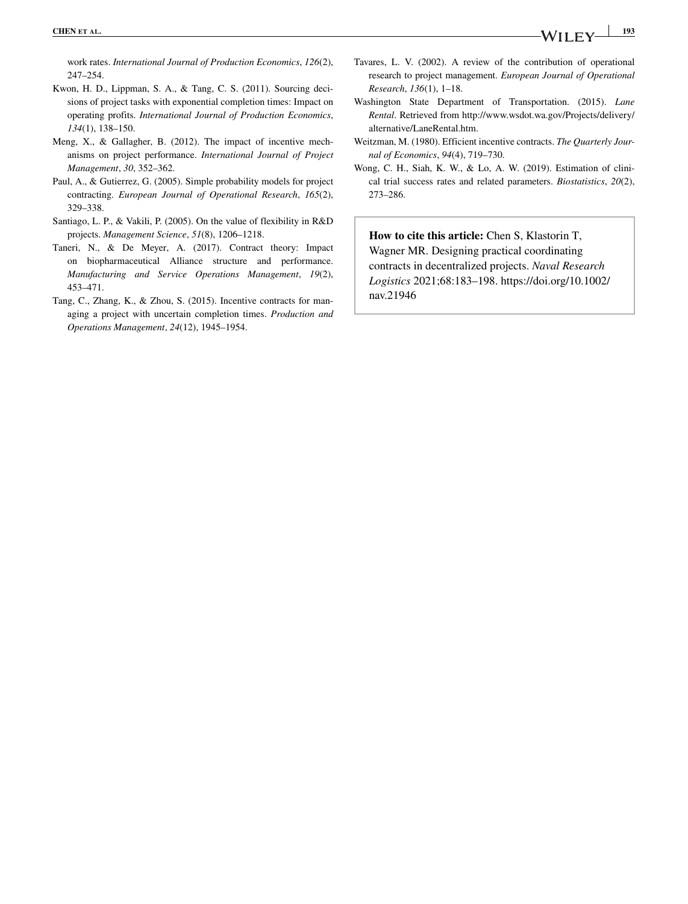work rates. *International Journal of Production Economics*, *126*(2), 247–254.

- Kwon, H. D., Lippman, S. A., & Tang, C. S. (2011). Sourcing decisions of project tasks with exponential completion times: Impact on operating profits. *International Journal of Production Economics*, *134*(1), 138–150.
- Meng, X., & Gallagher, B. (2012). The impact of incentive mechanisms on project performance. *International Journal of Project Management*, *30*, 352–362.
- Paul, A., & Gutierrez, G. (2005). Simple probability models for project contracting. *European Journal of Operational Research*, *165*(2), 329–338.
- Santiago, L. P., & Vakili, P. (2005). On the value of flexibility in R&D projects. *Management Science*, *51*(8), 1206–1218.
- Taneri, N., & De Meyer, A. (2017). Contract theory: Impact on biopharmaceutical Alliance structure and performance. *Manufacturing and Service Operations Management*, *19*(2), 453–471.
- Tang, C., Zhang, K., & Zhou, S. (2015). Incentive contracts for managing a project with uncertain completion times. *Production and Operations Management*, *24*(12), 1945–1954.
- Tavares, L. V. (2002). A review of the contribution of operational research to project management. *European Journal of Operational Research*, *136*(1), 1–18.
- Washington State Department of Transportation. (2015). *Lane Rental*. Retrieved from [http://www.wsdot.wa.gov/Projects/delivery/](http://www.wsdot.wa.gov/Projects/delivery/alternative/LaneRental.htm) [alternative/LaneRental.htm.](http://www.wsdot.wa.gov/Projects/delivery/alternative/LaneRental.htm)
- Weitzman, M. (1980). Efficient incentive contracts. *The Quarterly Journal of Economics*, *94*(4), 719–730.
- Wong, C. H., Siah, K. W., & Lo, A. W. (2019). Estimation of clinical trial success rates and related parameters. *Biostatistics*, *20*(2), 273–286.

**How to cite this article:** Chen S, Klastorin T, Wagner MR. Designing practical coordinating contracts in decentralized projects. *Naval Research Logistics* 2021;68:183–198. https://doi.org/10.1002/ nav.21946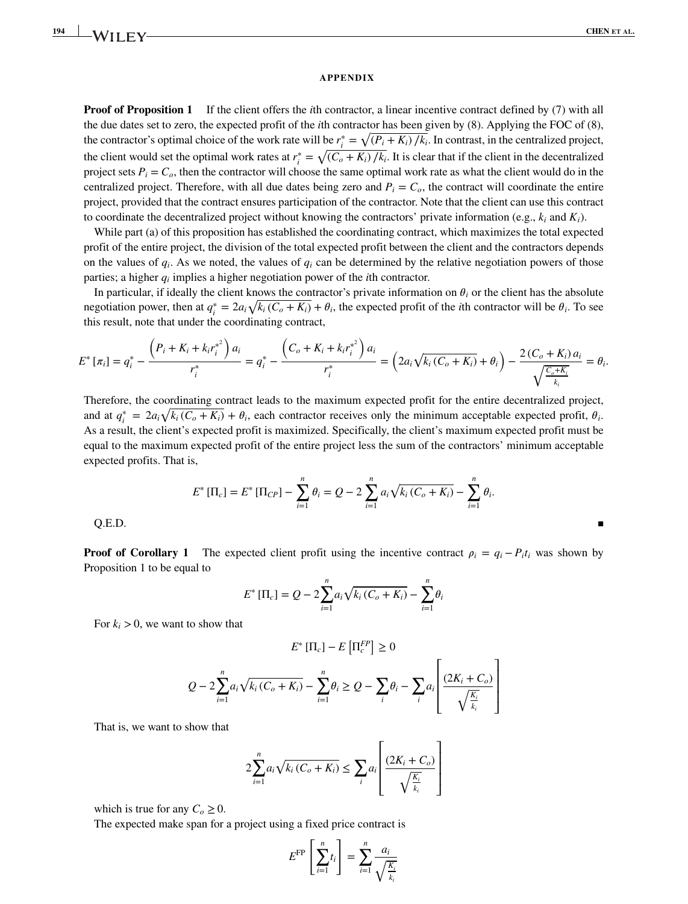#### **APPENDIX**

**Proof of Proposition 1** If the client offers the *i*th contractor, a linear incentive contract defined by (7) with all the due dates set to zero, the expected profit of the *i*th contractor has been given by (8). Applying the FOC of (8), the due dates set to zero, the expected profit of the *i*th contractor has been given by (8). Applying the FOC of (8), the contractor's optimal choice of the work rate will be  $r_i^* = \sqrt{(P_i + K_i)/k_i}$ . In contrast, in the cent the client would set the optimal work rates at  $r_i^* = \sqrt{(C_o + K_i)/k_i}$ . It is clear that if the client in the decentralized the optimal work rates at  $r_i^* = \sqrt{(C_o + K_i)/k_i}$ . It is clear that if the client in the decentralized project sets  $P_i = C_o$ , then the contractor will choose the same optimal work rate as what the client would do in the centralized project. Therefore, with all due dates being zero and  $P_i = C_o$ , the contract will coordinate the entire project, provided that the contract ensures participation of the contractor. Note that the client can use this contract to coordinate the decentralized project without knowing the contractors' private information (e.g.,  $k_i$  and  $K_i$ ).

While part (a) of this proposition has established the coordinating contract, which maximizes the total expected profit of the entire project, the division of the total expected profit between the client and the contractors depends on the values of  $q_i$ . As we noted, the values of  $q_i$  can be determined by the relative negotiation powers of those parties; a higher *qi* implies a higher negotiation power of the *i*th contractor.

In particular, if ideally the client knows the contractor's private information on  $\theta_i$  or the client has the absolute negotiation power, then at  $q_i^* = 2a_i\sqrt{k_i(C_o + K_i)} + \theta_i$ , the expected profit of the *i*th contractor will be  $\theta_i$ . To see this result, note that under the coordinating contract,

$$
E^* [\pi_i] = q_i^* - \frac{\left(P_i + K_i + k_i r_i^{*^2}\right) a_i}{r_i^*} = q_i^* - \frac{\left(C_o + K_i + k_i r_i^{*^2}\right) a_i}{r_i^*} = \left(2a_i\sqrt{k_i\left(C_o + K_i\right)} + \theta_i\right) - \frac{2\left(C_o + K_i\right) a_i}{\sqrt{\frac{C_o + K_i}{k_i}}} = \theta_i.
$$

Therefore, the coordinating contract leads to the maximum expected profit for the entire decentralized project, and at  $q_i^* = 2a_i\sqrt{k_i(C_o + K_i)} + \theta_i$ , each contractor receives only the minimum acceptable expected profit,  $\theta_i$ . As a result, the client's expected profit is maximized. Specifically, the client's maximum expected profit must be equal to the maximum expected profit of the entire project less the sum of the contractors' minimum acceptable expected profits. That is,

$$
E^* [\Pi_c] = E^* [\Pi_{CP}] - \sum_{i=1}^n \theta_i = Q - 2 \sum_{i=1}^n a_i \sqrt{k_i (C_o + K_i)} - \sum_{i=1}^n \theta_i.
$$
 Q.E.D.

**Proof of Corollary 1** The expected client profit using the incentive contract  $\rho_i = q_i - P_i t_i$  was shown by Proposition 1 to be equal to

$$
E^* [\Pi_c] = Q - 2 \sum_{i=1}^n a_i \sqrt{k_i (C_o + K_i)} - \sum_{i=1}^n \theta_i
$$

For  $k_i > 0$ , we want to show that

$$
E^* \left[ \Pi_c \right] - E \left[ \Pi_c^{FP} \right] \ge 0
$$
  

$$
Q - 2 \sum_{i=1}^n a_i \sqrt{k_i \left( C_o + K_i \right)} - \sum_{i=1}^n \theta_i \ge Q - \sum_i \theta_i - \sum_i a_i \left[ \frac{(2K_i + C_o)}{\sqrt{\frac{K_i}{k_i}}} \right]
$$

That is, we want to show that

$$
2\sum_{i=1}^{n} a_i \sqrt{k_i (C_o + K_i)} \le \sum_i a_i \left[ \frac{(2K_i + C_o)}{\sqrt{\frac{K_i}{k_i}}} \right]
$$

which is true for any  $C<sub>o</sub> \ge 0$ .

The expected make span for a project using a fixed price contract is  $\overline{a}$ 

$$
E^{\rm FP}\left[\sum_{i=1}^n t_i\right] = \sum_{i=1}^n \frac{a_i}{\sqrt{\frac{K_i}{k_i}}}
$$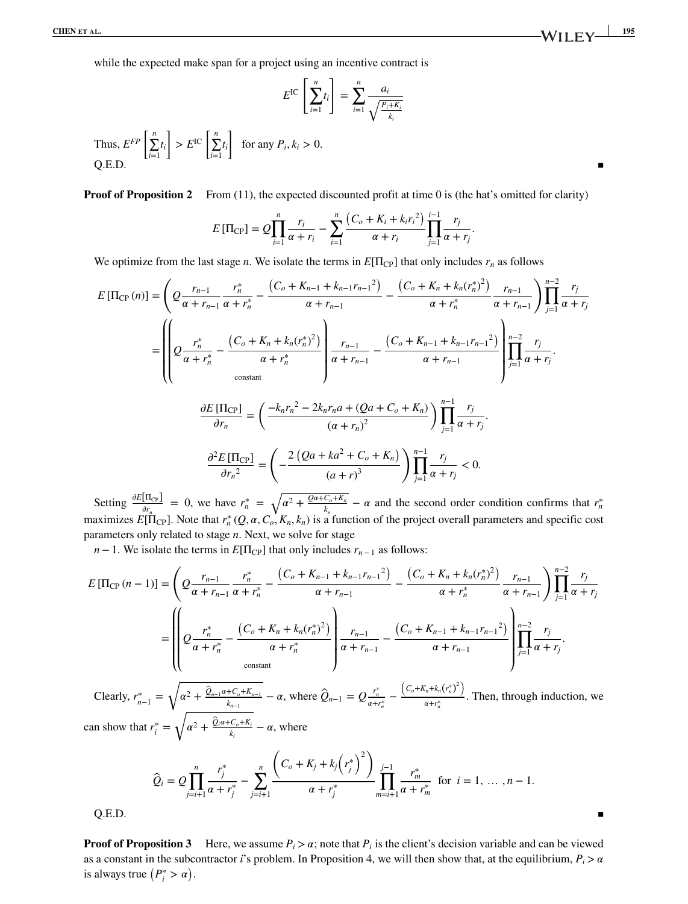while the expected make span for a project using an incentive contract is

$$
E^{\rm IC}\left[\sum_{i=1}^n t_i\right] = \sum_{i=1}^n \frac{a_i}{\sqrt{\frac{P_i + K_i}{k_i}}}
$$

Thus, 
$$
E^{FP}\left[\sum_{i=1}^{n}t_i\right] > E^{IC}\left[\sum_{i=1}^{n}t_i\right]
$$
 for any  $P_i, k_i > 0$ .  
Q.E.D.

**Proof of Proposition 2** From (11), the expected discounted profit at time 0 is (the hat's omitted for clarity)

$$
E\left[\Pi_{\rm CP}\right] = Q \prod_{i=1}^n \frac{r_i}{\alpha + r_i} - \sum_{i=1}^n \frac{\left(C_o + K_i + k_i r_i^2\right)}{\alpha + r_i} \prod_{j=1}^{i-1} \frac{r_j}{\alpha + r_j}.
$$

We optimize from the last stage *n*. We isolate the terms in  $E[\Pi_{CP}]$  that only includes  $r_n$  as follows

$$
E\left[\Pi_{\text{CP}}\left(n\right)\right] = \left(Q\frac{r_{n-1}}{\alpha + r_{n-1}}\frac{r_n^*}{\alpha + r_n^*} - \frac{\left(C_o + K_{n-1} + k_{n-1}r_{n-1}^2\right)}{\alpha + r_{n-1}} - \frac{\left(C_o + K_n + k_n(r_n^*)^2\right)}{\alpha + r_n^*}\frac{r_{n-1}}{\alpha + r_{n-1}}\right)\prod_{j=1}^{n-2}\frac{r_j}{\alpha + r_j}
$$
\n
$$
= \left(\left(Q\frac{r_n^*}{\alpha + r_n^*} - \frac{\left(C_o + K_n + k_n(r_n^*)^2\right)}{\alpha + r_n^*}\right)\frac{r_{n-1}}{\alpha + r_{n-1}} - \frac{\left(C_o + K_{n-1} + k_{n-1}r_{n-1}^2\right)}{\alpha + r_{n-1}}\right)\prod_{j=1}^{n-2}\frac{r_j}{\alpha + r_j}.
$$
\n
$$
\frac{\partial E\left[\Pi_{\text{CP}}\right]}{\partial r_n} = \left(\frac{-k_nr_n^2 - 2k_nr_n a + (Qa + C_o + K_n)}{(\alpha + r_n)^2}\right)\prod_{j=1}^{n-1}\frac{r_j}{\alpha + r_j}.
$$
\n
$$
\frac{\partial^2 E\left[\Pi_{\text{CP}}\right]}{\partial r_n^2} = \left(\frac{-2\left(Qa + ka^2 + C_o + K_n\right)}{\left(a + r\right)^3}\right)\prod_{j=1}^{n-1}\frac{r_j}{\alpha + r_j} < 0.
$$

Setting  $\frac{\partial E[\Pi_{CP}]}{\partial r_n} = 0$ , we have  $r_n^* =$  $\alpha^2 + \frac{Q\alpha + C_o + K_n}{k_n} - \alpha$  and the second order condition confirms that  $r_n^*$ maximizes  $E[\Pi_{CP}]$ . Note that  $r_n^*(Q, \alpha, C_o, K_n, k_n)$  is a function of the project overall parameters and specific cost parameters only related to stage *n*. Next, we solve for stage

*n*−1. We isolate the terms in *E*[ $\Pi_{CP}$ ] that only includes  $r_{n-1}$  as follows:

$$
E\left[\Pi_{\text{CP}}\left(n-1\right)\right] = \left(Q\frac{r_{n-1}}{\alpha + r_{n-1}}\frac{r_n^*}{\alpha + r_n^*} - \frac{\left(C_o + K_{n-1} + k_{n-1}r_{n-1}^2\right)}{\alpha + r_{n-1}} - \frac{\left(C_o + K_n + k_n(r_n^*)^2\right)}{\alpha + r_n^*}\frac{r_{n-1}}{\alpha + r_n}\right)\prod_{j=1}^{n-2}\frac{r_j}{\alpha + r_j}
$$
\n
$$
= \left(\left(Q\frac{r_n^*}{\alpha + r_n^*} - \frac{\left(C_o + K_n + k_n(r_n^*)^2\right)}{\alpha + r_n^*}\right)\frac{r_{n-1}}{\alpha + r_{n-1}} - \frac{\left(C_o + K_{n-1} + k_{n-1}r_{n-1}^2\right)}{\alpha + r_{n-1}}\right)\prod_{j=1}^{n-2}\frac{r_j}{\alpha + r_j}.
$$

Clearly,  $r_{n-1}^* =$  $\alpha^2 + \frac{\hat{Q}_{n-1}\alpha + C_o + K_{n-1}}{k_{n-1}} - \alpha$ , where  $\hat{Q}_{n-1} = Q \frac{r_n^*}{\alpha + r_n^*}$  $(C_o + K_n + k_n (r_n^*)^2)$  $\frac{n + n(\pi)}{\alpha + r_n^*}$ . Then, through induction, we can show that  $r_i^* = \sqrt{\alpha^2 + \frac{\hat{Q}_i \alpha + C_o + K_i}{k_i}} - \alpha$ , where √

$$
\hat{Q}_{i} = Q \prod_{j=i+1}^{n} \frac{r_{j}^{*}}{\alpha + r_{j}^{*}} - \sum_{j=i+1}^{n} \frac{\left(C_{o} + K_{j} + k_{j} (r_{j}^{*})^{2}\right)}{\alpha + r_{j}^{*}} \prod_{m=i+1}^{j-1} \frac{r_{m}^{*}}{\alpha + r_{m}^{*}} \text{ for } i = 1, ..., n-1.
$$
\nQ.E.D.

**Proof of Proposition 3** Here, we assume  $P_i > \alpha$ ; note that  $P_i$  is the client's decision variable and can be viewed as a constant in the subcontractor *i*'s problem. In Proposition 4, we will then show that, at the equilibrium,  $P_i > \alpha$ as a constant in the subc<br>is always true  $(P_i^* > \alpha)$ .

**CHEN** ET AL. **195**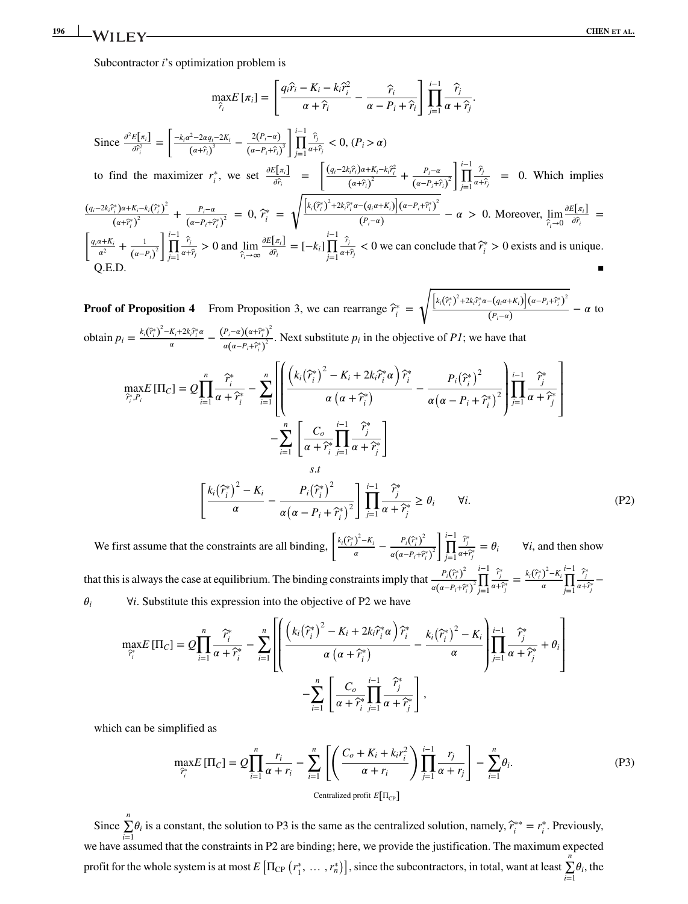Subcontractor *i*'s optimization problem is

$$
\max_{\hat{\tau}_i} E[\pi_i] = \left[ \frac{q_i \hat{r}_i - K_i - k_i \hat{r}_i^2}{\alpha + \hat{r}_i} - \frac{\hat{r}_i}{\alpha - P_i + \hat{r}_i} \right] \prod_{j=1}^{i-1} \frac{\hat{r}_j}{\alpha + \hat{r}_j}.
$$
  
\nSince  $\frac{\partial^2 E[\pi_i]}{\partial \hat{r}_i^2} = \left[ \frac{-k_i \alpha^2 - 2\alpha q_i - 2K_i}{(\alpha + \hat{r}_i)^3} - \frac{2(P_i - \alpha)}{(\alpha - P_i + \hat{r}_i)} \right] \prod_{j=1}^{i-1} \frac{\hat{r}_j}{\alpha + \hat{r}_j} < 0, (P_i > \alpha)$   
\nto find the maximizer  $r_i^*$ , we set  $\frac{\partial E[\pi_i]}{\partial \hat{r}_i} = \left[ \frac{(q_i - 2k_i \hat{r}_i)\alpha + K_i - k_i \hat{r}_i^2}{(\alpha + \hat{r}_i)^2} + \frac{P_i - \alpha}{(\alpha - P_i + \hat{r}_i)^2} \right] \prod_{j=1}^{i-1} \frac{\hat{r}_j}{\alpha + \hat{r}_j} = 0$ . Which implies  $\frac{(q_i - 2k_i \hat{r}_i^*)\alpha + K_i - k_i(\hat{r}_i^*)^2}{(\alpha + \hat{r}_i^*)^2} + \frac{P_i - \alpha}{(\alpha - P_i + \hat{r}_i^*)^2} = 0, \ \hat{r}_i^* = \sqrt{\frac{\left[ k_i(\hat{r}_i^*)^2 + 2k_i \hat{r}_i^* \alpha - (q_i \alpha + K_i) \right] (\alpha - P_i + \hat{r}_i^*)^2}{(P_i - \alpha)}} - \alpha > 0$ . Moreover,  $\lim_{\hat{r}_i \to 0} \frac{\partial E[\pi_i]}{\partial \hat{r}_i} = \left[ \frac{q_i \alpha + K_i}{\alpha^2} + \frac{1}{(\alpha - P_i + \hat{r}_i)^2} \right] \prod_{j=1}^{i-1} \frac{\hat{r}_j}{\alpha + \hat{r}_j} > 0$  and  $\lim_{\hat{r}_i \to \infty} \frac{\partial E[\pi_i]}{\partial \hat{r}_i} = [-k_i] \prod_{j=1}^{i-1} \frac{\hat{r}_j}{$ 

**Proof of Proposition 4** From Proposition 3, we can rearrange  $\hat{r}_i^*$  =  $\sqrt{2}$  $\left[ k_i(\hat{r}_i^*)^2 + 2k_i\hat{r}_i^*\alpha - (q_i\alpha + K_i) \right] (\alpha - P_i + \hat{r}_i^*)^2$  $\frac{(n-1)(n-1)}{(P_i-\alpha)} - \alpha$  to obtain  $p_i = \frac{k_i(\hat{r}_i^*)^2 - K_i + 2k_i\hat{r}_i^*\alpha}{\alpha} - \frac{(P_i - \alpha)(\alpha + \hat{r}_i^*)^2}{\alpha(\alpha - P_i + \hat{r}_i^*)^2}$  $\frac{p_i - p_i(x + p_i)}{\alpha(\alpha - P_i + \hat{r}_i^*)^2}$ . Next substitute  $p_i$  in the objective of *P1*; we have that

$$
\max_{\widehat{r}_{i}^{*}, P_{i}} E[\Pi_{C}] = Q \prod_{i=1}^{n} \frac{\widehat{r}_{i}^{*}}{\alpha + \widehat{r}_{i}^{*}} - \sum_{i=1}^{n} \left[ \left( \frac{\left( k_{i} (\widehat{r}_{i}^{*})^{2} - K_{i} + 2k_{i} \widehat{r}_{i}^{*} \alpha \right) \widehat{r}_{i}^{*}}{\alpha \left( \alpha + \widehat{r}_{i}^{*} \right)} - \frac{P_{i} (\widehat{r}_{i}^{*})^{2}}{\alpha \left( \alpha - P_{i} + \widehat{r}_{i}^{*} \right)^{2}} \right] \prod_{j=1}^{i-1} \frac{\widehat{r}_{j}^{*}}{\alpha + \widehat{r}_{j}^{*}} \right] - \sum_{i=1}^{n} \left[ \frac{C_{o}}{\alpha + \widehat{r}_{i}^{*}} \prod_{j=1}^{i-1} \frac{\widehat{r}_{j}^{*}}{\alpha + \widehat{r}_{j}^{*}} \right]
$$
\n*s.t*\n
$$
\left[ k_{i} (\widehat{r}_{i}^{*})^{2} - K_{i} - P_{i} (\widehat{r}_{i}^{*})^{2} - \left( \frac{1}{\widehat{r}_{i}^{*}} \right) \right] \prod_{i=1}^{i-1} \widehat{r}_{i}^{*}
$$

$$
\left[\frac{k_i(\widehat{r}_i^*)^2 - K_i}{\alpha} - \frac{P_i(\widehat{r}_i^*)^2}{\alpha(\alpha - P_i + \widehat{r}_i^*)^2}\right] \prod_{j=1}^{i-1} \frac{\widehat{r}_j^*}{\alpha + \widehat{r}_j^*} \ge \theta_i \qquad \forall i.
$$
\n(P2)

We first assume that the constraints are all binding,  $\left[\frac{k_i(\hat{r}_i^*)^2 - K_i}{\alpha} - \frac{P_i(\hat{r}_i^*)^2}{\alpha(\alpha - P_i + \hat{r}_i^*)^2}\right]$  $\alpha(\alpha-P_i+\hat{r}_i^*)^2$ ] *i* ∏−<sup>1</sup> *j*=1 *̂r*∗ *j* +*̂r*<sup>∗</sup> *j* = *<sup>i</sup>* ∀*i*, and then show that this is always the case at equilibrium. The binding constraints imply that  $\frac{P_i(\hat{r}_i^*)^2}{\hat{r}_i(\hat{r}_i)}$  $\alpha(\alpha-P_i+\hat{r}_i^*)^2$ *i* ∏−<sup>1</sup> *j*=1  $\frac{\hat{r}_j^*}{\alpha + \hat{r}_j^*} = \frac{k_i(\hat{r}_i^*)^2 - K_i}{\alpha}$  $\alpha$ *i* ∏−<sup>1</sup> *j*=1  $\frac{\hat{r}_j^*}{\alpha + \hat{r}_j^*}$  –  $\theta_i$   $\forall i$ . Substitute this expression into the objective of P2 we have

$$
\max_{\widehat{r}_{i}^{*}} E\left[\Pi_{C}\right] = Q \prod_{i=1}^{n} \frac{\widehat{r}_{i}^{*}}{\alpha + \widehat{r}_{i}^{*}} - \sum_{i=1}^{n} \left[ \left( \frac{\left(k_{i}(\widehat{r}_{i}^{*})^{2} - K_{i} + 2k_{i}\widehat{r}_{i}^{*}\alpha\right)\widehat{r}_{i}^{*}}{\alpha\left(\alpha + \widehat{r}_{i}^{*}\right)} - \frac{k_{i}(\widehat{r}_{i}^{*})^{2} - K_{i}}{\alpha} \right] \prod_{j=1}^{i-1} \frac{\widehat{r}_{j}^{*}}{\alpha + \widehat{r}_{j}^{*}} + \theta_{i} \right] - \sum_{i=1}^{n} \left[ \frac{C_{o}}{\alpha + \widehat{r}_{i}^{*}} \prod_{j=1}^{i-1} \frac{\widehat{r}_{j}^{*}}{\alpha + \widehat{r}_{j}^{*}} \right],
$$

which can be simplified as

$$
\max_{\hat{r}_i} E\left[\Pi_C\right] = Q \prod_{i=1}^n \frac{r_i}{\alpha + r_i} - \sum_{i=1}^n \left[ \left( \frac{C_o + K_i + k_i r_i^2}{\alpha + r_i} \right) \prod_{j=1}^{i-1} \frac{r_j}{\alpha + r_j} \right] - \sum_{i=1}^n \theta_i.
$$
\n(P3)

\nCentralized profit  $E[\Pi_{\text{CP}}]$ 

Since  $\sum_{n=1}^n$  $\sum_{i=1}^{\infty} \theta_i$  is a constant, the solution to P3 is the same as the centralized solution, namely,  $\hat{r}^*_{i} = r_i^*$ . Previously, we have assumed that the constraints in P2 are binding; here, we provide the justification. The maximum expected profit for the whole system is at most  $E\left[\Pi_{CP}\left(r_1^*, \ldots, r_n^*\right)\right]$ , since the subcontractors, in total, want at least  $\sum_{i=1}^n$  $\sum_{i=1}$  $\theta_i$ , the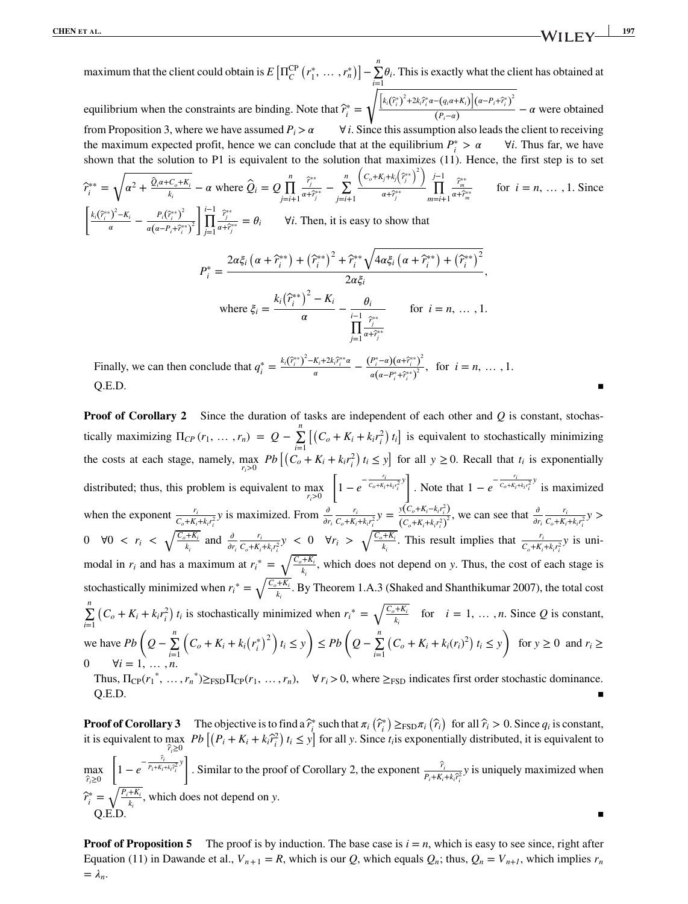**CHEN ET AL. 197**

maximum that the client could obtain is  $E\left[\Pi_C^{\text{CP}}\right]$  $\overline{a}$  $[r_1^*, \ldots, r_n^*]$   $\big] - \sum_{i=1}^n \theta_i$ . This is exactly what the client has obtained at *i*=1 equilibrium when the constraints are binding. Note that  $\hat{r}_i^*$  =  $i=1$ <br>∴  $\int k_i(\hat{r}_i^*)^2 + 2k_i\hat{r}_i^*\alpha - (q_i\alpha + K_i)\left[(\alpha - P_i + \hat{r}_i^*)^2\right]$  $\frac{(n-1)(n-1)}{(P_i-\alpha)}$  −  $\alpha$  were obtained from Proposition 3, where we have assumed  $P_i > \alpha$   $\forall i$ . Since this assumption also leads the client to receiving the maximum expected profit, hence we can conclude that at the equilibrium  $P^*$  >  $\alpha$  $\forall i$ . Thus far, we have shown that the solution to P1 is equivalent to the solution that maximizes (11). Hence, the first step is to set

$$
\widehat{r}_i^{**} = \sqrt{\alpha^2 + \frac{\widehat{Q}_i \alpha + C_o + K_i}{k_i}} - \alpha \text{ where } \widehat{Q}_i = Q \prod_{j=i+1}^n \frac{\widehat{r}_j^{**}}{\alpha + \widehat{r}_j^{**}} - \sum_{j=i+1}^n \frac{\left(C_o + K_j + k_j \left(\widehat{r}_j^{**}\right)^2\right)}{\alpha + \widehat{r}_j^{**}} \prod_{m=i+1}^{j-1} \frac{\widehat{r}_m^{**}}{\alpha + \widehat{r}_m^{**}} \text{ for } i = n, \dots, 1. \text{ Since }
$$
\n
$$
\left[ \frac{k_i (\widehat{r}_i^{**})^2 - K_i}{\alpha} - \frac{P_i (\widehat{r}_i^{**})^2}{\alpha (\alpha - P_i + \widehat{r}_i^{**})^2} \right] \prod_{j=1}^{i-1} \frac{\widehat{r}_j^{**}}{\alpha + \widehat{r}_j^{**}} = \theta_i \qquad \forall i. \text{ Then, it is easy to show that}
$$

$$
P_i^* = \frac{2\alpha \xi_i \left(\alpha + \widehat{r}_i^{**}\right) + \left(\widehat{r}_i^{**}\right)^2 + \widehat{r}_i^{**} \sqrt{4\alpha \xi_i \left(\alpha + \widehat{r}_i^{**}\right) + \left(\widehat{r}_i^{**}\right)^2} }{2\alpha \xi_i},
$$
  
where  $\xi_i = \frac{k_i \left(\widehat{r}_i^{**}\right)^2 - K_i}{\alpha} - \frac{\theta_i}{\prod_{j=1}^{i-1} \widehat{r}_j^{**}} \qquad \text{for } i = n, \dots, 1.$ 

Finally, we can then conclude that  $q_i^* = \frac{k_i(\hat{r}_i^{**})^2 - K_i + 2k_i\hat{r}_i^{**}\alpha}{\alpha} - \frac{(P_i^* - \alpha)(\alpha + \hat{r}_i^{**})^2}{\alpha(\alpha - P_i^* + \hat{r}_i^{**})^2}$  $\int_{\alpha}^{i} \frac{u}{\alpha(-P_i^* + \hat{r}_i^{**})^2}$ , for  $i = n, ..., 1$ .  $Q.E.D.$ 

**Proof of Corollary 2** Since the duration of tasks are independent of each other and *Q* is constant, stochastically maximizing  $\Pi_{CP}(r_1, ..., r_n) = Q - \sum_{i=1}^{n} \left[ (C_o + K_i + k_i r_i^2) \right]$ *i*=1  $\ddot{\phantom{a}}$ *ti* ] is equivalent to stochastically minimizing the costs at each stage, namely,  $\max_{r_i>0} Pb \left[ (C_o + K_i + k_i r_i^2) \right]$  $h_i \le y$  for all  $y \ge 0$ . Recall that  $t_i$  is exponentially distributed; thus, this problem is equivalent to  $\max_{r_i>0} \left[1-e^{rt_i}\right]$  $\begin{bmatrix} 1 & 1 & 1 \\ 1 & 1 & 1 \\ 1 & 1 & 1 \end{bmatrix}$  $\left[ \frac{r_i}{c_o + \kappa_i + k_i r_i^2} y \right]$ . Note that  $1 - e^{-\frac{r_i}{c_o + \kappa_i + k_i r_i^2} y}$  is maximized when the exponent  $\frac{r_i}{C_o + K_i + k_i r_i^2} y$  is maximized. From  $\frac{\partial}{\partial r_i}$ *ri*  $\frac{r_i}{C_o + K_i + k_i r_i^2} y = \frac{y(C_o + K_i - k_i r_i^2)}{(C_o + K_i + k_i r_i^2)^2}$  $\frac{y(C_o + K_i - k_i r_i^2)}{(C_o + K_i + k_i r_i^2)^2}$ , we can see that  $\frac{\partial}{\partial r_i}$ *ri*  $\frac{r_i}{C_o + K_i + k_i r_i^2} y >$ 0  $\forall 0 < r_i < \sqrt{\frac{C_o + K_i}{k}}$  $\frac{e^{i+k_i}}{k_i}$  and  $\frac{\partial}{\partial r_i}$ *ri or<sub>i</sub> C<sub>o</sub>*+**K**<sub>i</sub>+k<sub>i</sub>r<sub>i</sub><sup>7</sup></sub> *y*<br> *C<sub>o</sub>*+**K**<sub>i</sub>+k<sub>i</sub><sup>2</sup><sub>*i*</sub><sup>2</sup></del> *y <* 0  $\forall r_i > \sqrt{\frac{C_o + K_i}{k_i}}$  $\frac{r_i}{k_i}$ . This result implies that  $\frac{r_i}{C_o + K_i + k_i r_i^2}$  is uni- $V = k_i$   $\frac{\partial r_i C_o + K_i + k_i r_i^2}{\partial r_i C_o + K_i + k_i r_i^2}$ <br>
modal in  $r_i$  and has a maximum at  $r_i^* = \sqrt{\frac{C_o + K_i}{k_i}}$  $\frac{f^{(k)}}{k_i}$ , which does not depend on *y*. Thus, the cost of each stage is stochastically minimized when  $r_i^* = \sqrt{\frac{C_o + K_i}{k}}$  $\frac{+\kappa_i}{k_i}$ . By Theorem 1.A.3 (Shaked and Shanthikumar 2007), the total cost  $\frac{n}{2}$ we have  $Pb\left(Q - \sum_{n=1}^{n} A_n\right)$  $C_o + K_i + k_i r_i^2$  $\mathbf{r}$ *t<sub>i</sub>* is stochastically minimized when  $r_i^* = \sqrt{\frac{C_o + K_i}{k}}$  $\sum_{k_i}^{+\infty}$  for  $i = 1, \ldots, n$ . Since *Q* is constant, *i*=1  $\overline{\phantom{a}}$  $C_o + K_i + k_i$  $\overline{a}$ *r*∗ *i*  $\sqrt{2}$ *ti* ≤ *y* ) <sup>≤</sup> *Pb* ( *<sup>Q</sup>* <sup>−</sup> <sup>∑</sup>*<sup>n</sup> i*=1  $\mathbf{r}$  $C_o + K_i + k_i(r_i)^2 \mid t_i \leq y$ ) for  $y \geq 0$  and  $r_i \geq$ 0  $\forall i = 1, ..., n$ . Thus,  $\Pi_{\text{CP}}(r_1^*, \ldots, r_n^*) \geq_{\text{FSD}} \Pi_{\text{CP}}(r_1, \ldots, r_n)$ ,  $\forall r_i > 0$ , where  $\geq_{\text{FSD}}$  indicates first order stochastic dominance.  $Q.E.D.$ 

**Proof of Corollary 3** The objective is to find a  $\hat{r}^*$  such that  $\pi_i$  $\mathbf{r}$ *̂r*∗ **Proof of Corollary 3** The objective is to find a  $r_i^*$  such that  $\pi_i(r_i^*) \geq_{\text{FSD}} \pi_i(r_i)$  for all  $r_i > 0$ . Since  $q_i$  is constant,<br>it is equivalent to max  $Pb\left[\left(P_i + K_i + k_i\hat{r}_i^2\right)t_i \leq y\right]$  for all y. Since  $t_i$  is ex  $\sum_{\text{FSD}} \pi_i$  ( find a  $\hat{r}_i^*$  such that  $\pi_i(\hat{r}_i^*) \geq_{\text{FSD}} \pi_i(\hat{r}_i)$  for all  $\hat{r}_i > 0$ . Since  $q_i$  is constant,  $\max_{\hat{r}_i \geq 0}$   $\left[1 - e\right]$  $\overline{r_i} \geq 0$  $\left[\frac{\hat{r}_i}{P_i+k_i+k_i\hat{r}_i^2}y\right]$ . Similar to the proof of Corollary 2, the exponent  $\frac{\hat{r}_i}{P_i+k_i+k_i\hat{r}_i^2}y$  is uniquely maximized when  $\hat{r}_i \geq 0$   $\left(\sum_{i=1}^{r_i+K_i}\right)$  $\frac{+\mathbf{A}_i}{k_i}$ , which does not depend on *y*.  $Q.E.D.$ 

**Proof of Proposition 5 The proof is by induction. The base case is**  $i = n$ **, which is easy to see since, right after** Equation (11) in Dawande et al.,  $V_{n+1} = R$ , which is our *Q*, which equals  $Q_n$ ; thus,  $Q_n = V_{n+1}$ , which implies  $r_n$  $= \lambda_n$ .